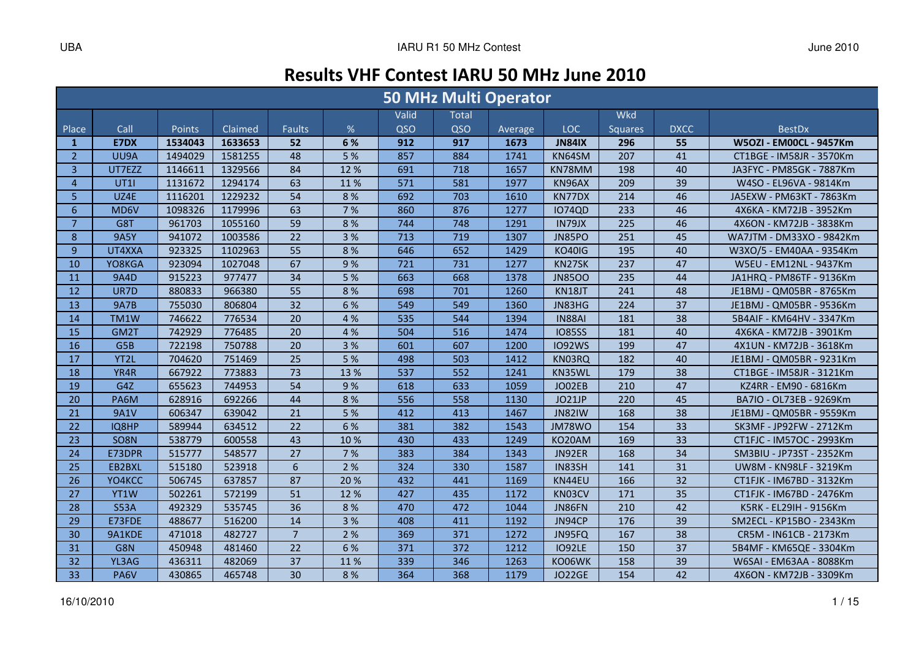# Results VHF Contest IARU 50 MHz June 2010

|                |             |         |         |                 |      |       | <b>50 MHz Multi Operator</b> |         |               |                |                 |                          |
|----------------|-------------|---------|---------|-----------------|------|-------|------------------------------|---------|---------------|----------------|-----------------|--------------------------|
|                |             |         |         |                 |      | Valid | <b>Total</b>                 |         |               | <b>Wkd</b>     |                 |                          |
| Place          | Call        | Points  | Claimed | <b>Faults</b>   | $\%$ | QSO   | QSO                          | Average | LOC           | <b>Squares</b> | <b>DXCC</b>     | <b>BestDx</b>            |
| $\mathbf{1}$   | E7DX        | 1534043 | 1633653 | 52              | 6 %  | 912   | 917                          | 1673    | <b>JN84IX</b> | 296            | 55              | W5OZI - EM00CL - 9457Km  |
| $\overline{2}$ | UU9A        | 1494029 | 1581255 | 48              | 5 %  | 857   | 884                          | 1741    | KN64SM        | 207            | 41              | CT1BGE - IM58JR - 3570Km |
| 3              | UT7EZZ      | 1146611 | 1329566 | 84              | 12%  | 691   | 718                          | 1657    | KN78MM        | 198            | 40              | JA3FYC - PM85GK - 7887Km |
| $\overline{4}$ | <b>UT11</b> | 1131672 | 1294174 | 63              | 11%  | 571   | 581                          | 1977    | KN96AX        | 209            | 39              | W4SO - EL96VA - 9814Km   |
| 5 <sup>5</sup> | UZ4E        | 1116201 | 1229232 | 54              | 8%   | 692   | 703                          | 1610    | KN77DX        | 214            | 46              | JA5EXW - PM63KT - 7863Km |
| 6              | MD6V        | 1098326 | 1179996 | 63              | 7 %  | 860   | 876                          | 1277    | <b>IO74QD</b> | 233            | 46              | 4X6KA - KM72JB - 3952Km  |
| $\overline{7}$ | G8T         | 961703  | 1055160 | 59              | 8%   | 744   | 748                          | 1291    | IN79JX        | 225            | 46              | 4X6ON - KM72JB - 3838Km  |
| 8              | <b>9A5Y</b> | 941072  | 1003586 | 22              | 3 %  | 713   | 719                          | 1307    | JN85PO        | 251            | 45              | WA7JTM - DM33XO - 9842Km |
| 9              | UT4XXA      | 923325  | 1102963 | 55              | 8 %  | 646   | 652                          | 1429    | <b>KO40IG</b> | 195            | 40              | W3XO/5 - EM40AA - 9354Km |
| 10             | YO8KGA      | 923094  | 1027048 | 67              | 9%   | 721   | 731                          | 1277    | KN27SK        | 237            | 47              | W5EU - EM12NL - 9437Km   |
| <b>11</b>      | 9A4D        | 915223  | 977477  | 34              | 5 %  | 663   | 668                          | 1378    | <b>JN8500</b> | 235            | 44              | JA1HRQ - PM86TF - 9136Km |
| 12             | UR7D        | 880833  | 966380  | 55              | 8 %  | 698   | 701                          | 1260    | KN18JT        | 241            | 48              | JE1BMJ - QM05BR - 8765Km |
| 13             | <b>9A7B</b> | 755030  | 806804  | 32              | 6 %  | 549   | 549                          | 1360    | JN83HG        | 224            | 37              | JE1BMJ - QM05BR - 9536Km |
| 14             | TM1W        | 746622  | 776534  | 20              | 4 %  | 535   | 544                          | 1394    | <b>IN88AI</b> | 181            | 38              | 5B4AIF - KM64HV - 3347Km |
| 15             | GM2T        | 742929  | 776485  | 20              | 4 %  | 504   | 516                          | 1474    | <b>IO85SS</b> | 181            | 40              | 4X6KA - KM72JB - 3901Km  |
| 16             | G5B         | 722198  | 750788  | 20              | 3 %  | 601   | 607                          | 1200    | <b>IO92WS</b> | 199            | 47              | 4X1UN - KM72JB - 3618Km  |
| 17             | YT2L        | 704620  | 751469  | 25              | 5 %  | 498   | 503                          | 1412    | KN03RQ        | 182            | 40              | JE1BMJ - QM05BR - 9231Km |
| 18             | YR4R        | 667922  | 773883  | 73              | 13 % | 537   | 552                          | 1241    | KN35WL        | 179            | 38              | CT1BGE - IM58JR - 3121Km |
| 19             | G4Z         | 655623  | 744953  | 54              | 9%   | 618   | 633                          | 1059    | JO02EB        | 210            | 47              | KZ4RR - EM90 - 6816Km    |
| 20             | PA6M        | 628916  | 692266  | 44              | 8%   | 556   | 558                          | 1130    | JO21JP        | 220            | 45              | BA7IO - OL73EB - 9269Km  |
| 21             | <b>9A1V</b> | 606347  | 639042  | 21              | 5 %  | 412   | 413                          | 1467    | <b>JN82IW</b> | 168            | 38              | JE1BMJ - QM05BR - 9559Km |
| 22             | IQ8HP       | 589944  | 634512  | 22              | 6 %  | 381   | 382                          | 1543    | <b>JM78WO</b> | 154            | 33              | SK3MF - JP92FW - 2712Km  |
| 23             | SO8N        | 538779  | 600558  | 43              | 10%  | 430   | 433                          | 1249    | KO20AM        | 169            | $\overline{33}$ | CT1FJC - IM57OC - 2993Km |
| 24             | E73DPR      | 515777  | 548577  | 27              | 7 %  | 383   | 384                          | 1343    | JN92ER        | 168            | 34              | SM3BIU - JP73ST - 2352Km |
| 25             | EB2BXL      | 515180  | 523918  | $6\phantom{1}6$ | 2 %  | 324   | 330                          | 1587    | IN83SH        | 141            | 31              | UW8M - KN98LF - 3219Km   |
| 26             | YO4KCC      | 506745  | 637857  | 87              | 20%  | 432   | 441                          | 1169    | KN44EU        | 166            | 32              | CT1FJK - IM67BD - 3132Km |
| 27             | YT1W        | 502261  | 572199  | 51              | 12%  | 427   | 435                          | 1172    | KN03CV        | 171            | 35              | CT1FJK - IM67BD - 2476Km |
| 28             | <b>S53A</b> | 492329  | 535745  | 36              | 8 %  | 470   | 472                          | 1044    | JN86FN        | 210            | 42              | K5RK - EL29IH - 9156Km   |
| 29             | E73FDE      | 488677  | 516200  | 14              | 3 %  | 408   | 411                          | 1192    | JN94CP        | 176            | 39              | SM2ECL - KP15BO - 2343Km |
| 30             | 9A1KDE      | 471018  | 482727  | $\overline{7}$  | 2 %  | 369   | 371                          | 1272    | JN95FQ        | 167            | 38              | CR5M - IN61CB - 2173Km   |
| 31             | G8N         | 450948  | 481460  | 22              | 6 %  | 371   | 372                          | 1212    | <b>IO92LE</b> | 150            | 37              | 5B4MF - KM65QE - 3304Km  |
| 32             | YL3AG       | 436311  | 482069  | 37              | 11%  | 339   | 346                          | 1263    | KO06WK        | 158            | 39              | W6SAI - EM63AA - 8088Km  |
| 33             | PA6V        | 430865  | 465748  | 30              | 8 %  | 364   | 368                          | 1179    | <b>JO22GE</b> | 154            | 42              | 4X6ON - KM72JB - 3309Km  |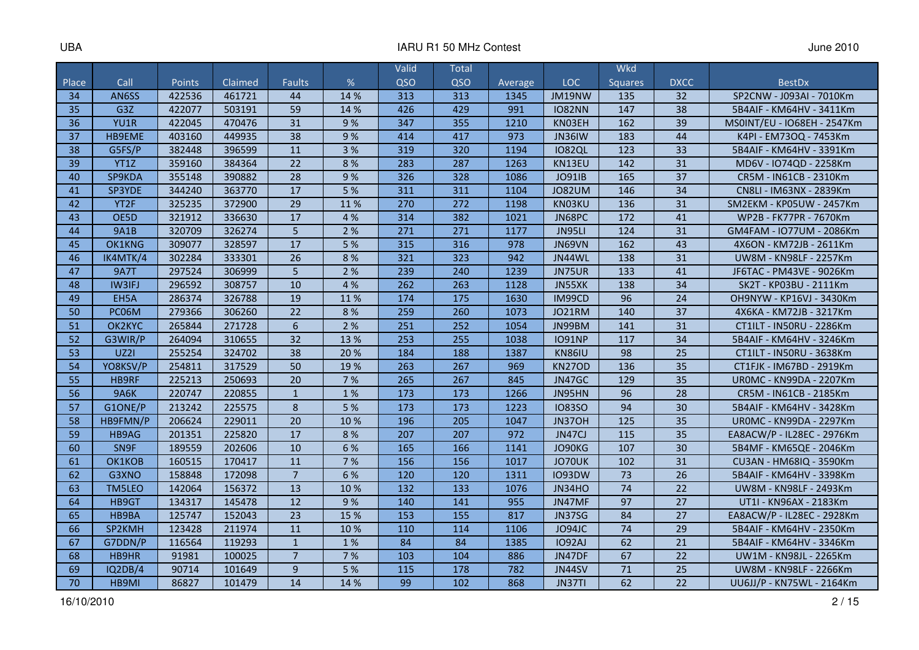|       |                   |        |         |                 |      | Valid | Total |         |               | <b>Wkd</b>      |                 |                                |
|-------|-------------------|--------|---------|-----------------|------|-------|-------|---------|---------------|-----------------|-----------------|--------------------------------|
| Place | Call              | Points | Claimed | <b>Faults</b>   | %    | QSO   | QSO   | Average | <b>LOC</b>    | <b>Squares</b>  | <b>DXCC</b>     | <b>BestDx</b>                  |
| 34    | AN6SS             | 422536 | 461721  | 44              | 14 % | 313   | 313   | 1345    | JM19NW        | 135             | 32              | SP2CNW - J093AI - 7010Km       |
| 35    | G3Z               | 422077 | 503191  | 59              | 14 % | 426   | 429   | 991     | <b>IO82NN</b> | 147             | 38              | 5B4AIF - KM64HV - 3411Km       |
| 36    | YU1R              | 422045 | 470476  | 31              | 9%   | 347   | 355   | 1210    | KN03EH        | 162             | 39              | MS0INT/EU - IO68EH - 2547Km    |
| 37    | HB9EME            | 403160 | 449935  | 38              | 9%   | 414   | 417   | 973     | <b>JN36IW</b> | 183             | 44              | K4PI - EM73OQ - 7453Km         |
| 38    | G5FS/P            | 382448 | 396599  | 11              | 3 %  | 319   | 320   | 1194    | <b>IO82QL</b> | 123             | 33              | 5B4AIF - KM64HV - 3391Km       |
| 39    | YT1Z              | 359160 | 384364  | 22              | 8%   | 283   | 287   | 1263    | KN13EU        | 142             | 31              | MD6V - IO74QD - 2258Km         |
| 40    | SP9KDA            | 355148 | 390882  | 28              | 9%   | 326   | 328   | 1086    | <b>JO91IB</b> | 165             | 37              | CR5M - IN61CB - 2310Km         |
| 41    | SP3YDE            | 344240 | 363770  | 17              | 5 %  | 311   | 311   | 1104    | <b>JO82UM</b> | 146             | 34              | CN8LI - IM63NX - 2839Km        |
| 42    | YT <sub>2</sub> F | 325235 | 372900  | $\overline{29}$ | 11%  | 270   | 272   | 1198    | KN03KU        | 136             | 31              | SM2EKM - KP05UW - 2457Km       |
| 43    | OE5D              | 321912 | 336630  | 17              | 4 %  | 314   | 382   | 1021    | JN68PC        | 172             | 41              | WP2B - FK77PR - 7670Km         |
| 44    | <b>9A1B</b>       | 320709 | 326274  | 5               | 2 %  | 271   | 271   | 1177    | JN95LI        | 124             | 31              | GM4FAM - IO77UM - 2086Km       |
| 45    | OK1KNG            | 309077 | 328597  | 17              | 5 %  | 315   | 316   | 978     | JN69VN        | 162             | 43              | 4X6ON - KM72JB - 2611Km        |
| 46    | IK4MTK/4          | 302284 | 333301  | 26              | 8%   | 321   | 323   | 942     | JN44WL        | 138             | 31              | UW8M - KN98LF - 2257Km         |
| 47    | <b>9A7T</b>       | 297524 | 306999  | 5               | 2 %  | 239   | 240   | 1239    | JN75UR        | 133             | 41              | JF6TAC - PM43VE - 9026Km       |
| 48    | <b>IW3IFJ</b>     | 296592 | 308757  | 10              | 4 %  | 262   | 263   | 1128    | JN55XK        | 138             | 34              | SK2T - KP03BU - 2111Km         |
| 49    | EH5A              | 286374 | 326788  | 19              | 11%  | 174   | 175   | 1630    | IM99CD        | 96              | 24              | OH9NYW - KP16VJ - 3430Km       |
| 50    | PC06M             | 279366 | 306260  | 22              | 8 %  | 259   | 260   | 1073    | JO21RM        | 140             | 37              | 4X6KA - KM72JB - 3217Km        |
| 51    | OK2KYC            | 265844 | 271728  | $6\phantom{1}6$ | 2 %  | 251   | 252   | 1054    | JN99BM        | 141             | 31              | CT1ILT - IN50RU - 2286Km       |
| 52    | G3WIR/P           | 264094 | 310655  | 32              | 13 % | 253   | 255   | 1038    | <b>IO91NP</b> | 117             | 34              | 5B4AIF - KM64HV - 3246Km       |
| 53    | <b>UZ21</b>       | 255254 | 324702  | 38              | 20%  | 184   | 188   | 1387    | <b>KN86IU</b> | 98              | 25              | CT1ILT - IN50RU - 3638Km       |
| 54    | YO8KSV/P          | 254811 | 317529  | 50              | 19%  | 263   | 267   | 969     | <b>KN27OD</b> | 136             | 35              | CT1FJK - IM67BD - 2919Km       |
| 55    | HB9RF             | 225213 | 250693  | 20              | 7 %  | 265   | 267   | 845     | JN47GC        | 129             | 35              | <b>UROMC - KN99DA - 2207Km</b> |
| 56    | <b>9A6K</b>       | 220747 | 220855  | $\mathbf{1}$    | 1%   | 173   | 173   | 1266    | JN95HN        | 96              | 28              | CR5M - IN61CB - 2185Km         |
| 57    | G1ONE/P           | 213242 | 225575  | 8               | 5 %  | 173   | 173   | 1223    | <b>1083SO</b> | 94              | 30              | 5B4AIF - KM64HV - 3428Km       |
| 58    | HB9FMN/P          | 206624 | 229011  | 20              | 10%  | 196   | 205   | 1047    | JN37OH        | 125             | 35              | <b>UROMC - KN99DA - 2297Km</b> |
| 59    | HB9AG             | 201351 | 225820  | 17              | 8%   | 207   | 207   | 972     | JN47CJ        | 115             | 35              | EA8ACW/P - IL28EC - 2976Km     |
| 60    | SN9F              | 189559 | 202606  | 10              | 6 %  | 165   | 166   | 1141    | JO90KG        | 107             | 30              | 5B4MF - KM65QE - 2046Km        |
| 61    | OK1KOB            | 160515 | 170417  | 11              | 7 %  | 156   | 156   | 1017    | JO70UK        | 102             | 31              | CU3AN - HM68IQ - 3590Km        |
| 62    | G3XNO             | 158848 | 172098  | $\overline{7}$  | 6 %  | 120   | 120   | 1311    | <b>IO93DW</b> | 73              | 26              | 5B4AIF - KM64HV - 3398Km       |
| 63    | TM5LEO            | 142064 | 156372  | 13              | 10%  | 132   | 133   | 1076    | <b>JN34HO</b> | 74              | 22              | UW8M - KN98LF - 2493Km         |
| 64    | HB9GT             | 134317 | 145478  | 12              | 9%   | 140   | 141   | 955     | JN47MF        | $\overline{97}$ | $\overline{27}$ | UT1I - KN96AX - 2183Km         |
| 65    | HB9BA             | 125747 | 152043  | 23              | 15 % | 153   | 155   | 817     | JN37SG        | 84              | 27              | EA8ACW/P - IL28EC - 2928Km     |
| 66    | SP2KMH            | 123428 | 211974  | 11              | 10 % | 110   | 114   | 1106    | JO94JC        | 74              | 29              | 5B4AIF - KM64HV - 2350Km       |
| 67    | G7DDN/P           | 116564 | 119293  | $\mathbf{1}$    | 1%   | 84    | 84    | 1385    | <b>IO92AJ</b> | 62              | 21              | 5B4AIF - KM64HV - 3346Km       |
| 68    | <b>HB9HR</b>      | 91981  | 100025  | $\overline{7}$  | 7 %  | 103   | 104   | 886     | JN47DF        | 67              | 22              | UW1M - KN98JL - 2265Km         |
| 69    | IQ2DB/4           | 90714  | 101649  | 9               | 5 %  | 115   | 178   | 782     | <b>JN44SV</b> | 71              | 25              | UW8M - KN98LF - 2266Km         |
| 70    | HB9MI             | 86827  | 101479  | 14              | 14 % | 99    | 102   | 868     | JN37TI        | 62              | 22              | UU6JJ/P - KN75WL - 2164Km      |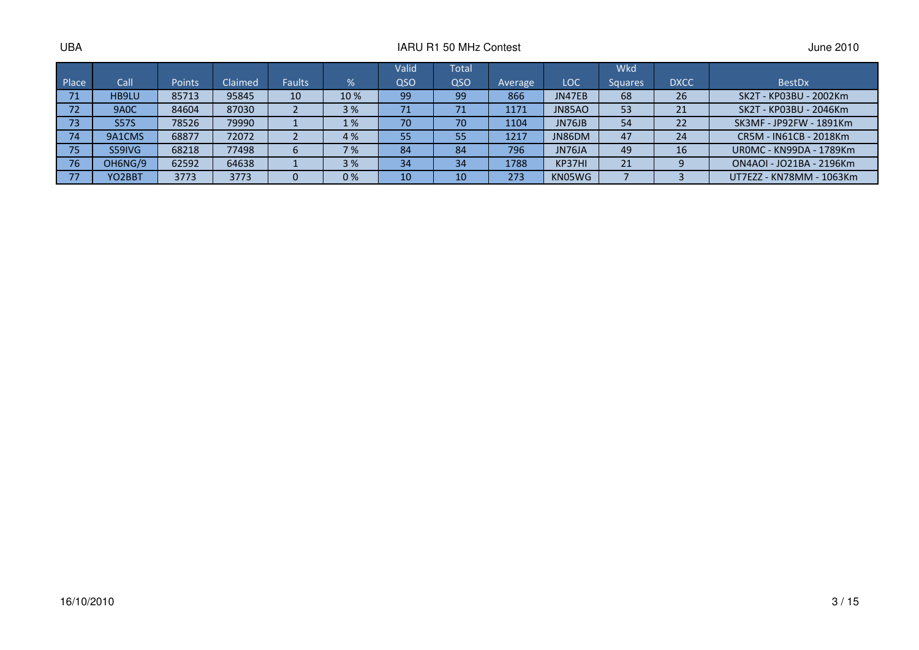|       |                     |        |         |               |     | Valid | Total |         |               | Wkd            |             |                                |
|-------|---------------------|--------|---------|---------------|-----|-------|-------|---------|---------------|----------------|-------------|--------------------------------|
| Place | Call                | Points | Claimed | <b>Faults</b> | %   | QSO   | QSO   | Average | LOC           | <b>Squares</b> | <b>DXCC</b> | <b>BestDx</b>                  |
| 71    | HB9LU               | 85713  | 95845   | 10            | 10% | 99    | 99    | 866     | JN47EB        | 68             | 26          | SK2T - KP03BU - 2002Km         |
| 72    | 9A <sub>0</sub> C   | 84604  | 87030   |               | 3%  | 71    | 71    | 1171    | <b>JN85AO</b> | 53             | 21          | SK2T - KP03BU - 2046Km         |
| 73    | <b>S57S</b>         | 78526  | 79990   |               | 1%  | 70    | 70    | 1104    | JN76JB        | 54             | 22          | SK3MF - JP92FW - 1891Km        |
| 74    | 9A1CMS              | 68877  | 72072   |               | 4 % | 55    | 55    | 1217    | JN86DM        | 47             | 24          | CR5M - IN61CB - 2018Km         |
| 75    | S59IVG              | 68218  | 77498   |               | 7%  | 84    | 84    | 796     | JN76JA        | 49             | 16          | <b>UROMC - KN99DA - 1789Km</b> |
| 76    | OH6NG/9             | 62592  | 64638   |               | 3%  | 34    | 34    | 1788    | KP37HI        | 21             |             | ON4AOI - JO21BA - 2196Km       |
| 77    | YO <sub>2</sub> BBT | 3773   | 3773    |               | 0%  | 10    | 10    | 273     | KN05WG        |                |             | UT7EZZ - KN78MM - 1063Km       |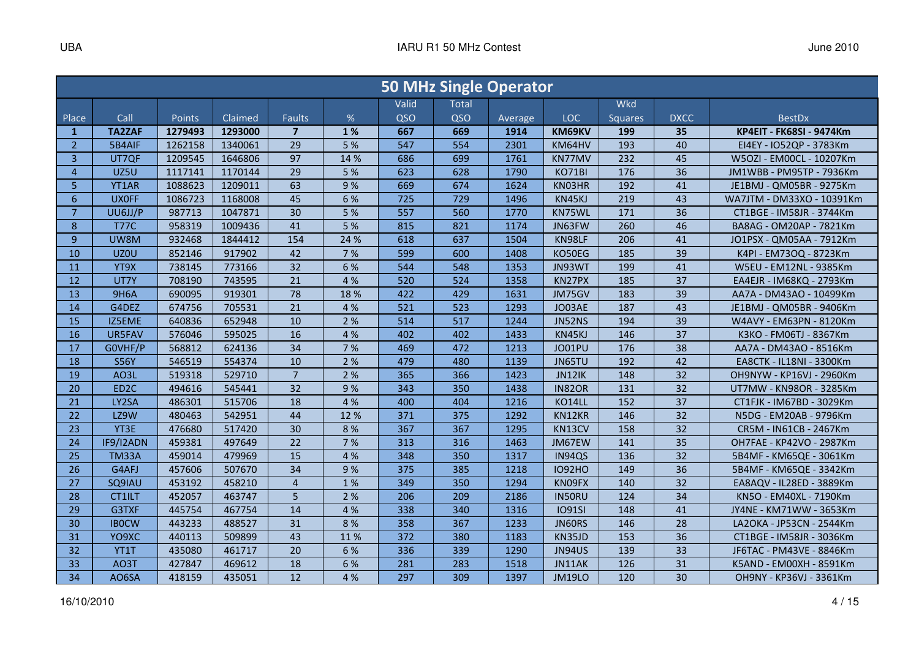|                |                  |         |         |                |      |       |       | <b>50 MHz Single Operator</b> |               |                |             |                           |
|----------------|------------------|---------|---------|----------------|------|-------|-------|-------------------------------|---------------|----------------|-------------|---------------------------|
|                |                  |         |         |                |      | Valid | Total |                               |               | <b>Wkd</b>     |             |                           |
| Place          | Call             | Points  | Claimed | <b>Faults</b>  | %    | QSO   | QSO   | Average                       | <b>LOC</b>    | <b>Squares</b> | <b>DXCC</b> | <b>BestDx</b>             |
| $\mathbf{1}$   | <b>TA2ZAF</b>    | 1279493 | 1293000 | $\overline{7}$ | 1%   | 667   | 669   | 1914                          | KM69KV        | 199            | 35          | KP4EIT - FK68SI - 9474Km  |
| $\overline{2}$ | 5B4AIF           | 1262158 | 1340061 | 29             | 5 %  | 547   | 554   | 2301                          | KM64HV        | 193            | 40          | EI4EY - IO52QP - 3783Km   |
| 3              | UT7QF            | 1209545 | 1646806 | 97             | 14 % | 686   | 699   | 1761                          | KN77MV        | 232            | 45          | W5OZI - EM00CL - 10207Km  |
| $\overline{4}$ | UZ5U             | 1117141 | 1170144 | 29             | 5 %  | 623   | 628   | 1790                          | <b>KO71BI</b> | 176            | 36          | JM1WBB - PM95TP - 7936Km  |
| 5              | YT1AR            | 1088623 | 1209011 | 63             | 9%   | 669   | 674   | 1624                          | KN03HR        | 192            | 41          | JE1BMJ - QM05BR - 9275Km  |
| $6\phantom{1}$ | <b>UXOFF</b>     | 1086723 | 1168008 | 45             | 6 %  | 725   | 729   | 1496                          | KN45KJ        | 219            | 43          | WA7JTM - DM33XO - 10391Km |
| $\overline{7}$ | UU6JJ/P          | 987713  | 1047871 | 30             | 5 %  | 557   | 560   | 1770                          | KN75WL        | 171            | 36          | CT1BGE - IM58JR - 3744Km  |
| 8              | <b>T77C</b>      | 958319  | 1009436 | 41             | 5 %  | 815   | 821   | 1174                          | JN63FW        | 260            | 46          | BA8AG - OM20AP - 7821Km   |
| 9              | UW8M             | 932468  | 1844412 | 154            | 24 % | 618   | 637   | 1504                          | KN98LF        | 206            | 41          | JO1PSX - QM05AA - 7912Km  |
| 10             | UZ0U             | 852146  | 917902  | 42             | 7 %  | 599   | 600   | 1408                          | KO50EG        | 185            | 39          | K4PI - EM73OQ - 8723Km    |
| 11             | YT9X             | 738145  | 773166  | 32             | 6 %  | 544   | 548   | 1353                          | JN93WT        | 199            | 41          | W5EU - EM12NL - 9385Km    |
| 12             | UT7Y             | 708190  | 743595  | 21             | 4 %  | 520   | 524   | 1358                          | KN27PX        | 185            | 37          | EA4EJR - IM68KQ - 2793Km  |
| 13             | <b>9H6A</b>      | 690095  | 919301  | 78             | 18%  | 422   | 429   | 1631                          | JM75GV        | 183            | 39          | AA7A - DM43AO - 10499Km   |
| 14             | G4DEZ            | 674756  | 705531  | 21             | 4 %  | 521   | 523   | 1293                          | JO03AE        | 187            | 43          | JE1BMJ - QM05BR - 9406Km  |
| 15             | IZ5EME           | 640836  | 652948  | 10             | 2 %  | 514   | 517   | 1244                          | JN52NS        | 194            | 39          | W4AVY - EM63PN - 8120Km   |
| 16             | UR5FAV           | 576046  | 595025  | 16             | 4 %  | 402   | 402   | 1433                          | KN45KJ        | 146            | 37          | K3KO - FM06TJ - 8367Km    |
| 17             | GOVHF/P          | 568812  | 624136  | 34             | 7 %  | 469   | 472   | 1213                          | JO01PU        | 176            | 38          | AA7A - DM43AO - 8516Km    |
| 18             | <b>S56Y</b>      | 546519  | 554374  | 10             | 2 %  | 479   | 480   | 1139                          | JN65TU        | 192            | 42          | EA8CTK - IL18NI - 3300Km  |
| 19             | AO3L             | 519318  | 529710  | $\overline{7}$ | 2 %  | 365   | 366   | 1423                          | JN12IK        | 148            | 32          | OH9NYW - KP16VJ - 2960Km  |
| 20             | ED <sub>2C</sub> | 494616  | 545441  | 32             | 9%   | 343   | 350   | 1438                          | <b>IN82OR</b> | 131            | 32          | UT7MW - KN98OR - 3285Km   |
| 21             | LY2SA            | 486301  | 515706  | 18             | 4 %  | 400   | 404   | 1216                          | KO14LL        | 152            | 37          | CT1FJK - IM67BD - 3029Km  |
| 22             | LZ9W             | 480463  | 542951  | 44             | 12 % | 371   | 375   | 1292                          | KN12KR        | 146            | 32          | N5DG - EM20AB - 9796Km    |
| 23             | YT3E             | 476680  | 517420  | 30             | 8 %  | 367   | 367   | 1295                          | KN13CV        | 158            | 32          | CR5M - IN61CB - 2467Km    |
| 24             | IF9/I2ADN        | 459381  | 497649  | 22             | 7 %  | 313   | 316   | 1463                          | JM67EW        | 141            | 35          | OH7FAE - KP42VO - 2987Km  |
| 25             | <b>TM33A</b>     | 459014  | 479969  | 15             | 4 %  | 348   | 350   | 1317                          | IN94QS        | 136            | 32          | 5B4MF - KM65QE - 3061Km   |
| 26             | G4AFJ            | 457606  | 507670  | 34             | 9%   | 375   | 385   | 1218                          | <b>IO92HO</b> | 149            | 36          | 5B4MF - KM65QE - 3342Km   |
| 27             | SQ9IAU           | 453192  | 458210  | $\overline{4}$ | 1%   | 349   | 350   | 1294                          | KN09FX        | 140            | 32          | EA8AQV - IL28ED - 3889Km  |
| 28             | CT1ILT           | 452057  | 463747  | 5              | 2 %  | 206   | 209   | 2186                          | IN50RU        | 124            | 34          | KN5O - EM40XL - 7190Km    |
| 29             | G3TXF            | 445754  | 467754  | 14             | 4 %  | 338   | 340   | 1316                          | <b>IO91SI</b> | 148            | 41          | JY4NE - KM71WW - 3653Km   |
| 30             | <b>IBOCW</b>     | 443233  | 488527  | 31             | 8%   | 358   | 367   | 1233                          | JN60RS        | 146            | 28          | LA2OKA - JP53CN - 2544Km  |
| 31             | YO9XC            | 440113  | 509899  | 43             | 11%  | 372   | 380   | 1183                          | KN35JD        | 153            | 36          | CT1BGE - IM58JR - 3036Km  |
| 32             | YT1T             | 435080  | 461717  | 20             | 6 %  | 336   | 339   | 1290                          | <b>JN94US</b> | 139            | 33          | JF6TAC - PM43VE - 8846Km  |
| 33             | AO3T             | 427847  | 469612  | 18             | 6 %  | 281   | 283   | 1518                          | JN11AK        | 126            | 31          | K5AND - EM00XH - 8591Km   |
| 34             | AO6SA            | 418159  | 435051  | 12             | 4 %  | 297   | 309   | 1397                          | JM19LO        | 120            | 30          | OH9NY - KP36VJ - 3361Km   |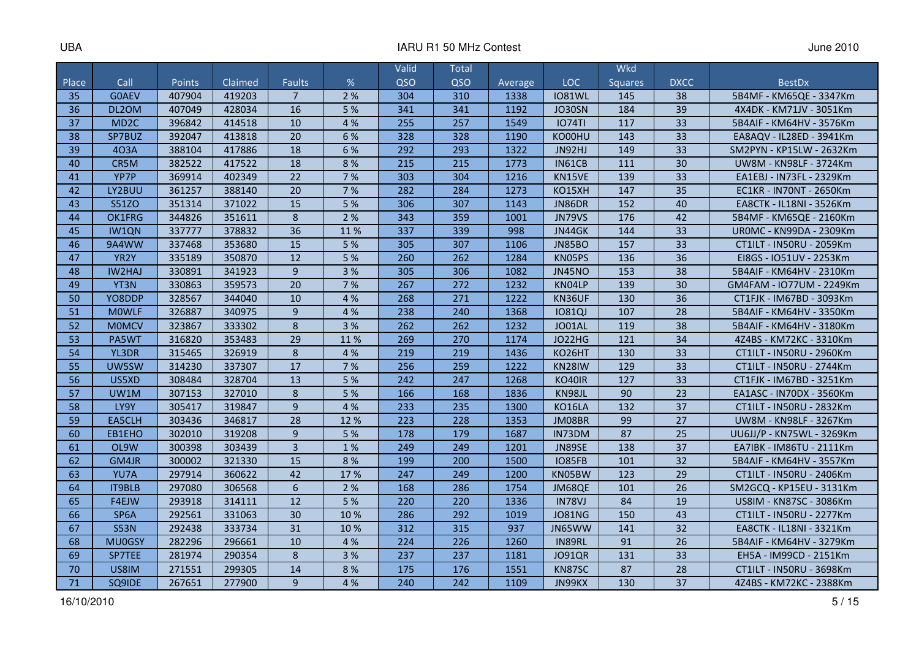|       |                   |        |         |                  |      | Valid | Total |         |               | <b>Wkd</b>     |             |                                |
|-------|-------------------|--------|---------|------------------|------|-------|-------|---------|---------------|----------------|-------------|--------------------------------|
| Place | Call              | Points | Claimed | <b>Faults</b>    | $\%$ | QSO   | QSO   | Average | <b>LOC</b>    | <b>Squares</b> | <b>DXCC</b> | <b>BestDx</b>                  |
| 35    | <b>GOAEV</b>      | 407904 | 419203  | $\overline{7}$   | 2%   | 304   | 310   | 1338    | <b>IO81WL</b> | 145            | 38          | 5B4MF - KM65QE - 3347Km        |
| 36    | DL2OM             | 407049 | 428034  | 16               | 5 %  | 341   | 341   | 1192    | JO30SN        | 184            | 39          | 4X4DK - KM71JV - 3051Km        |
| 37    | MD <sub>2C</sub>  | 396842 | 414518  | 10               | 4 %  | 255   | 257   | 1549    | <b>IO74TI</b> | 117            | 33          | 5B4AIF - KM64HV - 3576Km       |
| 38    | SP7BUZ            | 392047 | 413818  | 20               | 6 %  | 328   | 328   | 1190    | KO00HU        | 143            | 33          | EA8AQV - IL28ED - 3941Km       |
| 39    | 403A              | 388104 | 417886  | 18               | 6 %  | 292   | 293   | 1322    | JN92HJ        | 149            | 33          | SM2PYN - KP15LW - 2632Km       |
| 40    | CR5M              | 382522 | 417522  | 18               | 8 %  | 215   | 215   | 1773    | IN61CB        | 111            | 30          | UW8M - KN98LF - 3724Km         |
| 41    | YP7P              | 369914 | 402349  | 22               | 7 %  | 303   | 304   | 1216    | KN15VE        | 139            | 33          | EA1EBJ - IN73FL - 2329Km       |
| 42    | LY2BUU            | 361257 | 388140  | 20               | 7 %  | 282   | 284   | 1273    | <b>KO15XH</b> | 147            | 35          | <b>EC1KR - IN70NT - 2650Km</b> |
| 43    | <b>S51ZO</b>      | 351314 | 371022  | 15               | 5%   | 306   | 307   | 1143    | <b>JN86DR</b> | 152            | 40          | EA8CTK - IL18NI - 3526Km       |
| 44    | OK1FRG            | 344826 | 351611  | 8                | 2 %  | 343   | 359   | 1001    | <b>JN79VS</b> | 176            | 42          | 5B4MF - KM65QE - 2160Km        |
| 45    | IW1QN             | 337777 | 378832  | 36               | 11%  | 337   | 339   | 998     | JN44GK        | 144            | 33          | <b>UROMC - KN99DA - 2309Km</b> |
| 46    | 9A4WW             | 337468 | 353680  | 15               | 5 %  | 305   | 307   | 1106    | <b>JN85BO</b> | 157            | 33          | CT1ILT - IN50RU - 2059Km       |
| 47    | YR <sub>2</sub> Y | 335189 | 350870  | 12               | 5 %  | 260   | 262   | 1284    | KN05PS        | 136            | 36          | EI8GS - IO51UV - 2253Km        |
| 48    | <b>IW2HAJ</b>     | 330891 | 341923  | $\overline{9}$   | 3 %  | 305   | 306   | 1082    | <b>JN45NO</b> | 153            | 38          | 5B4AIF - KM64HV - 2310Km       |
| 49    | YT3N              | 330863 | 359573  | 20               | 7 %  | 267   | 272   | 1232    | KN04LP        | 139            | 30          | GM4FAM - IO77UM - 2249Km       |
| 50    | YO8DDP            | 328567 | 344040  | 10               | 4 %  | 268   | 271   | 1222    | KN36UF        | 130            | 36          | CT1FJK - IM67BD - 3093Km       |
| 51    | <b>MOWLF</b>      | 326887 | 340975  | $\overline{9}$   | 4 %  | 238   | 240   | 1368    | <b>10810J</b> | 107            | 28          | 5B4AIF - KM64HV - 3350Km       |
| 52    | <b>MOMCV</b>      | 323867 | 333302  | 8                | 3 %  | 262   | 262   | 1232    | JO01AL        | 119            | 38          | 5B4AIF - KM64HV - 3180Km       |
| 53    | PA5WT             | 316820 | 353483  | 29               | 11%  | 269   | 270   | 1174    | JO22HG        | 121            | 34          | 4Z4BS - KM72KC - 3310Km        |
| 54    | YL3DR             | 315465 | 326919  | 8                | 4 %  | 219   | 219   | 1436    | KO26HT        | 130            | 33          | CT1ILT - IN50RU - 2960Km       |
| 55    | UW5SW             | 314230 | 337307  | 17               | 7 %  | 256   | 259   | 1222    | KN28IW        | 129            | 33          | CT1ILT - IN50RU - 2744Km       |
| 56    | US5XD             | 308484 | 328704  | 13               | 5 %  | 242   | 247   | 1268    | <b>KO40IR</b> | 127            | 33          | CT1FJK - IM67BD - 3251Km       |
| 57    | UW1M              | 307153 | 327010  | 8                | 5 %  | 166   | 168   | 1836    | KN98JL        | 90             | 23          | EA1ASC - IN70DX - 3560Km       |
| 58    | LY9Y              | 305417 | 319847  | $\overline{9}$   | 4 %  | 233   | 235   | 1300    | <b>KO16LA</b> | 132            | 37          | CT1ILT - IN50RU - 2832Km       |
| 59    | EA5CLH            | 303436 | 346817  | 28               | 12 % | 223   | 228   | 1353    | JM08BR        | 99             | 27          | UW8M - KN98LF - 3267Km         |
| 60    | EB1EHO            | 302010 | 319208  | 9                | 5 %  | 178   | 179   | 1687    | IN73DM        | 87             | 25          | UU6JJ/P - KN75WL - 3269Km      |
| 61    | OL9W              | 300398 | 303439  | $\overline{3}$   | 1%   | 249   | 249   | 1201    | <b>JN89SE</b> | 138            | 37          | EA7IBK - IM86TU - 2111Km       |
| 62    | GM4JR             | 300002 | 321330  | 15               | 8 %  | 199   | 200   | 1500    | <b>IO85FB</b> | 101            | 32          | 5B4AIF - KM64HV - 3557Km       |
| 63    | YU7A              | 297914 | 360622  | 42               | 17%  | 247   | 249   | 1200    | KN05BW        | 123            | 29          | CT1ILT - IN50RU - 2406Km       |
| 64    | <b>IT9BLB</b>     | 297080 | 306568  | 6                | 2 %  | 168   | 286   | 1754    | JM68QE        | 101            | 26          | SM2GCQ - KP15EU - 3131Km       |
| 65    | F4EJW             | 293918 | 314111  | 12               | 5 %  | 220   | 220   | 1336    | IN78VJ        | 84             | 19          | US8IM - KN87SC - 3086Km        |
| 66    | SP <sub>6</sub> A | 292561 | 331063  | 30               | 10 % | 286   | 292   | 1019    | <b>JO81NG</b> | 150            | 43          | CT1ILT - IN50RU - 2277Km       |
| 67    | <b>S53N</b>       | 292438 | 333734  | 31               | 10 % | 312   | 315   | 937     | JN65WW        | 141            | 32          | EA8CTK - IL18NI - 3321Km       |
| 68    | <b>MU0GSY</b>     | 282296 | 296661  | 10               | 4 %  | 224   | 226   | 1260    | IN89RL        | 91             | 26          | 5B4AIF - KM64HV - 3279Km       |
| 69    | SP7TEE            | 281974 | 290354  | $\boldsymbol{8}$ | 3 %  | 237   | 237   | 1181    | <b>JO91QR</b> | 131            | 33          | EH5A - IM99CD - 2151Km         |
| 70    | US8IM             | 271551 | 299305  | 14               | 8 %  | 175   | 176   | 1551    | KN87SC        | 87             | 28          | CT1ILT - IN50RU - 3698Km       |
| 71    | SQ9IDE            | 267651 | 277900  | 9                | 4 %  | 240   | 242   | 1109    | JN99KX        | 130            | 37          | 4Z4BS - KM72KC - 2388Km        |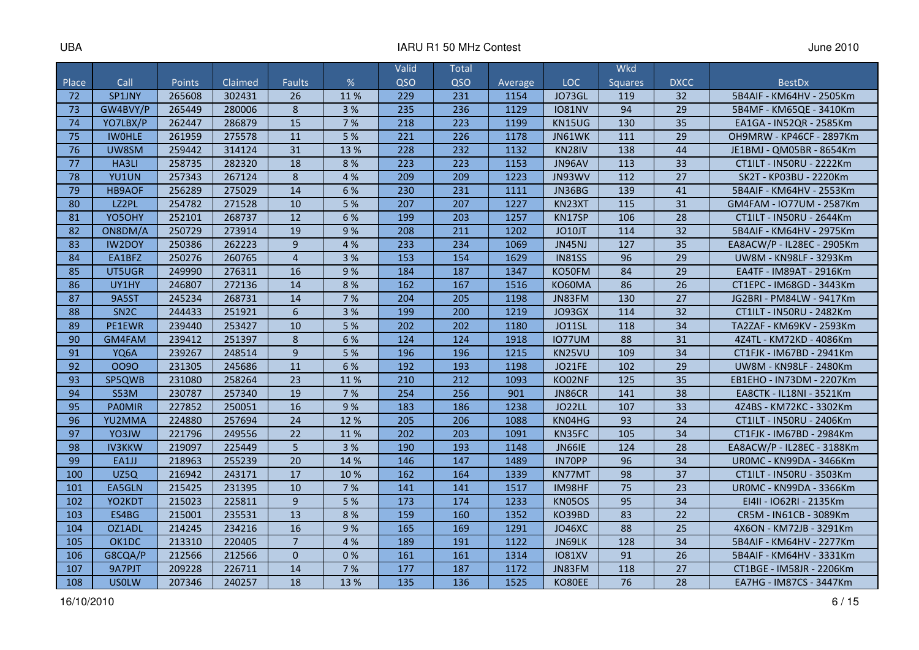|       |                   |        |         |                  |      | Valid | Total |         |               | <b>Wkd</b>     |                 |                                |
|-------|-------------------|--------|---------|------------------|------|-------|-------|---------|---------------|----------------|-----------------|--------------------------------|
| Place | Call              | Points | Claimed | <b>Faults</b>    | %    | QSO   | QSO   | Average | <b>LOC</b>    | <b>Squares</b> | <b>DXCC</b>     | <b>BestDx</b>                  |
| 72    | SP1JNY            | 265608 | 302431  | 26               | 11%  | 229   | 231   | 1154    | JO73GL        | 119            | 32              | 5B4AIF - KM64HV - 2505Km       |
| 73    | GW4BVY/P          | 265449 | 280006  | 8                | 3%   | 235   | 236   | 1129    | <b>IO81NV</b> | 94             | 29              | 5B4MF - KM65QE - 3410Km        |
| 74    | YO7LBX/P          | 262447 | 286879  | 15               | 7 %  | 218   | 223   | 1199    | <b>KN15UG</b> | 130            | 35              | EA1GA - IN52QR - 2585Km        |
| 75    | <b>IWOHLE</b>     | 261959 | 275578  | 11               | 5%   | 221   | 226   | 1178    | JN61WK        | 111            | $\overline{29}$ | OH9MRW - KP46CF - 2897Km       |
| 76    | UW8SM             | 259442 | 314124  | 31               | 13 % | 228   | 232   | 1132    | KN28IV        | 138            | 44              | JE1BMJ - QM05BR - 8654Km       |
| 77    | <b>HA3LI</b>      | 258735 | 282320  | 18               | 8%   | 223   | 223   | 1153    | JN96AV        | 113            | 33              | CT1ILT - IN50RU - 2222Km       |
| 78    | YU1UN             | 257343 | 267124  | $\bf 8$          | 4 %  | 209   | 209   | 1223    | JN93WV        | 112            | 27              | SK2T - KP03BU - 2220Km         |
| 79    | HB9AOF            | 256289 | 275029  | 14               | 6 %  | 230   | 231   | 1111    | JN36BG        | 139            | 41              | 5B4AIF - KM64HV - 2553Km       |
| 80    | LZ2PL             | 254782 | 271528  | 10               | 5 %  | 207   | 207   | 1227    | KN23XT        | 115            | 31              | GM4FAM - IO77UM - 2587Km       |
| 81    | YO5OHY            | 252101 | 268737  | 12               | 6 %  | 199   | 203   | 1257    | KN17SP        | 106            | 28              | CT1ILT - IN50RU - 2644Km       |
| 82    | ON8DM/A           | 250729 | 273914  | 19               | 9%   | 208   | 211   | 1202    | JO10JT        | 114            | 32              | 5B4AIF - KM64HV - 2975Km       |
| 83    | <b>IW2DOY</b>     | 250386 | 262223  | 9                | 4 %  | 233   | 234   | 1069    | <b>JN45NJ</b> | 127            | 35              | EA8ACW/P - IL28EC - 2905Km     |
| 84    | EA1BFZ            | 250276 | 260765  | $\overline{4}$   | 3 %  | 153   | 154   | 1629    | <b>IN81SS</b> | 96             | 29              | UW8M - KN98LF - 3293Km         |
| 85    | UT5UGR            | 249990 | 276311  | 16               | 9%   | 184   | 187   | 1347    | KO50FM        | 84             | 29              | EA4TF - IM89AT - 2916Km        |
| 86    | UY1HY             | 246807 | 272136  | 14               | 8 %  | 162   | 167   | 1516    | KO60MA        | 86             | 26              | CT1EPC - IM68GD - 3443Km       |
| 87    | 9A5ST             | 245234 | 268731  | 14               | 7%   | 204   | 205   | 1198    | JN83FM        | 130            | 27              | JG2BRI - PM84LW - 9417Km       |
| 88    | SN <sub>2</sub> C | 244433 | 251921  | 6                | 3 %  | 199   | 200   | 1219    | <b>JO93GX</b> | 114            | 32              | CT1ILT - IN50RU - 2482Km       |
| 89    | PE1EWR            | 239440 | 253427  | 10               | 5 %  | 202   | 202   | 1180    | <b>JO11SL</b> | 118            | 34              | TA2ZAF - KM69KV - 2593Km       |
| 90    | GM4FAM            | 239412 | 251397  | $\boldsymbol{8}$ | 6 %  | 124   | 124   | 1918    | <b>IO77UM</b> | 88             | 31              | 4Z4TL - KM72KD - 4086Km        |
| 91    | YQ6A              | 239267 | 248514  | 9                | 5 %  | 196   | 196   | 1215    | KN25VU        | 109            | 34              | CT1FJK - IM67BD - 2941Km       |
| 92    | 0090              | 231305 | 245686  | 11               | 6 %  | 192   | 193   | 1198    | <b>JO21FE</b> | 102            | 29              | UW8M - KN98LF - 2480Km         |
| 93    | SP5QWB            | 231080 | 258264  | 23               | 11%  | 210   | 212   | 1093    | KO02NF        | 125            | 35              | EB1EHO - IN73DM - 2207Km       |
| 94    | <b>S53M</b>       | 230787 | 257340  | 19               | 7%   | 254   | 256   | 901     | <b>JN86CR</b> | 141            | 38              | EA8CTK - IL18NI - 3521Km       |
| 95    | <b>PAOMIR</b>     | 227852 | 250051  | 16               | 9%   | 183   | 186   | 1238    | JO22LL        | 107            | 33              | 4Z4BS - KM72KC - 3302Km        |
| 96    | YU2MMA            | 224880 | 257694  | 24               | 12 % | 205   | 206   | 1088    | KN04HG        | 93             | 24              | CT1ILT - IN50RU - 2406Km       |
| 97    | YO3JW             | 221796 | 249556  | 22               | 11%  | 202   | 203   | 1091    | KN35FC        | 105            | 34              | CT1FJK - IM67BD - 2984Km       |
| 98    | <b>IV3KKW</b>     | 219097 | 225449  | 5                | 3 %  | 190   | 193   | 1148    | <b>JN66IE</b> | 124            | 28              | EA8ACW/P - IL28EC - 3188Km     |
| 99    | EA1JJ             | 218963 | 255239  | 20               | 14 % | 146   | 147   | 1489    | IN70PP        | 96             | 34              | UROMC - KN99DA - 3466Km        |
| 100   | UZ5Q              | 216942 | 243171  | 17               | 10%  | 162   | 164   | 1339    | KN77MT        | 98             | 37              | CT1ILT - IN50RU - 3503Km       |
| 101   | EA5GLN            | 215425 | 231395  | 10               | 7%   | 141   | 141   | 1517    | IM98HF        | 75             | 23              | <b>UROMC - KN99DA - 3366Km</b> |
| 102   | YO2KDT            | 215023 | 225811  | 9                | 5 %  | 173   | 174   | 1233    | KN05OS        | 95             | 34              | EI4II - IO62RI - 2135Km        |
| 103   | ES4BG             | 215001 | 235531  | 13               | 8%   | 159   | 160   | 1352    | KO39BD        | 83             | 22              | CR5M - IN61CB - 3089Km         |
| 104   | OZ1ADL            | 214245 | 234216  | 16               | 9%   | 165   | 169   | 1291    | <b>JO46XC</b> | 88             | 25              | 4X6ON - KM72JB - 3291Km        |
| 105   | OK1DC             | 213310 | 220405  | $\overline{7}$   | 4 %  | 189   | 191   | 1122    | JN69LK        | 128            | 34              | 5B4AIF - KM64HV - 2277Km       |
| 106   | G8CQA/P           | 212566 | 212566  | $\overline{0}$   | 0%   | 161   | 161   | 1314    | <b>IO81XV</b> | 91             | 26              | 5B4AIF - KM64HV - 3331Km       |
| 107   | 9A7PJT            | 209228 | 226711  | 14               | 7 %  | 177   | 187   | 1172    | JN83FM        | 118            | 27              | CT1BGE - IM58JR - 2206Km       |
| 108   | <b>USOLW</b>      | 207346 | 240257  | 18               | 13 % | 135   | 136   | 1525    | KO80EE        | 76             | 28              | EA7HG - IM87CS - 3447Km        |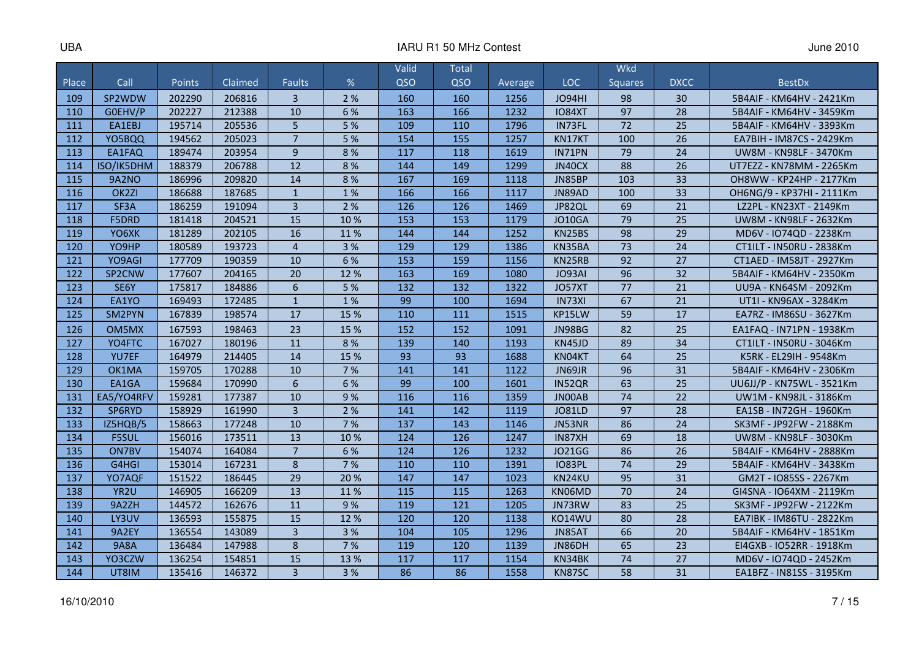|       |                   |        |         |                 |      | Valid | Total |         |               | Wkd             |             |                           |
|-------|-------------------|--------|---------|-----------------|------|-------|-------|---------|---------------|-----------------|-------------|---------------------------|
| Place | Call              | Points | Claimed | <b>Faults</b>   | %    | QSO   | QSO   | Average | <b>LOC</b>    | <b>Squares</b>  | <b>DXCC</b> | <b>BestDx</b>             |
| 109   | SP2WDW            | 202290 | 206816  | $\overline{3}$  | 2 %  | 160   | 160   | 1256    | <b>JO94HI</b> | 98              | 30          | 5B4AIF - KM64HV - 2421Km  |
| 110   | GOEHV/P           | 202227 | 212388  | 10              | 6 %  | 163   | 166   | 1232    | <b>IO84XT</b> | $\overline{97}$ | 28          | 5B4AIF - KM64HV - 3459Km  |
| 111   | EA1EBJ            | 195714 | 205536  | 5               | 5 %  | 109   | 110   | 1796    | IN73FL        | 72              | 25          | 5B4AIF - KM64HV - 3393Km  |
| 112   | YO5BOQ            | 194562 | 205023  | $\overline{7}$  | 5 %  | 154   | 155   | 1257    | KN17KT        | 100             | 26          | EA7BIH - IM87CS - 2429Km  |
| 113   | EA1FAQ            | 189474 | 203954  | 9               | 8 %  | 117   | 118   | 1619    | IN71PN        | 79              | 24          | UW8M - KN98LF - 3470Km    |
| 114   | ISO/IK5DHM        | 188379 | 206788  | 12              | 8 %  | 144   | 149   | 1299    | JN40CX        | 88              | 26          | UT7EZZ - KN78MM - 2265Km  |
| 115   | 9A2NO             | 186996 | 209820  | 14              | 8 %  | 167   | 169   | 1118    | JN85BP        | 103             | 33          | OH8WW - KP24HP - 2177Km   |
| 116   | OK <sub>2ZI</sub> | 186688 | 187685  | $\mathbf{1}$    | 1%   | 166   | 166   | 1117    | JN89AD        | 100             | 33          | OH6NG/9 - KP37HI - 2111Km |
| 117   | SF3A              | 186259 | 191094  | $\overline{3}$  | 2 %  | 126   | 126   | 1469    | JP82QL        | 69              | 21          | LZ2PL - KN23XT - 2149Km   |
| 118   | <b>F5DRD</b>      | 181418 | 204521  | 15              | 10 % | 153   | 153   | 1179    | <b>JO10GA</b> | 79              | 25          | UW8M - KN98LF - 2632Km    |
| 119   | YO6XK             | 181289 | 202105  | 16              | 11%  | 144   | 144   | 1252    | KN25BS        | 98              | 29          | MD6V - IO74QD - 2238Km    |
| 120   | YO9HP             | 180589 | 193723  | $\overline{4}$  | 3 %  | 129   | 129   | 1386    | KN35BA        | 73              | 24          | CT1ILT - IN50RU - 2838Km  |
| 121   | YO9AGI            | 177709 | 190359  | 10              | 6 %  | 153   | 159   | 1156    | KN25RB        | 92              | 27          | CT1AED - IM58JT - 2927Km  |
| 122   | SP2CNW            | 177607 | 204165  | 20              | 12%  | 163   | 169   | 1080    | JO93AI        | 96              | 32          | 5B4AIF - KM64HV - 2350Km  |
| 123   | SE6Y              | 175817 | 184886  | $6\phantom{1}$  | 5 %  | 132   | 132   | 1322    | JO57XT        | 77              | 21          | UU9A - KN64SM - 2092Km    |
| 124   | EA1YO             | 169493 | 172485  | $\mathbf{1}$    | 1%   | 99    | 100   | 1694    | IN73XI        | 67              | 21          | UT1I - KN96AX - 3284Km    |
| 125   | SM2PYN            | 167839 | 198574  | 17              | 15 % | 110   | 111   | 1515    | KP15LW        | 59              | 17          | EA7RZ - IM86SU - 3627Km   |
| 126   | OM5MX             | 167593 | 198463  | 23              | 15 % | 152   | 152   | 1091    | JN98BG        | 82              | 25          | EA1FAQ - IN71PN - 1938Km  |
| 127   | YO4FTC            | 167027 | 180196  | 11              | 8%   | 139   | 140   | 1193    | KN45JD        | 89              | 34          | CT1ILT - IN50RU - 3046Km  |
| 128   | YU7EF             | 164979 | 214405  | 14              | 15 % | 93    | 93    | 1688    | KN04KT        | 64              | 25          | K5RK - EL29IH - 9548Km    |
| 129   | OK1MA             | 159705 | 170288  | 10              | 7 %  | 141   | 141   | 1122    | JN69JR        | 96              | 31          | 5B4AIF - KM64HV - 2306Km  |
| 130   | EA1GA             | 159684 | 170990  | $6\phantom{1}6$ | 6 %  | 99    | 100   | 1601    | IN52QR        | 63              | 25          | UU6JJ/P - KN75WL - 3521Km |
| 131   | EA5/YO4RFV        | 159281 | 177387  | 10              | 9%   | 116   | 116   | 1359    | <b>JNOOAB</b> | 74              | 22          | UW1M - KN98JL - 3186Km    |
| 132   | SP6RYD            | 158929 | 161990  | $\overline{3}$  | 2 %  | 141   | 142   | 1119    | <b>JO81LD</b> | 97              | 28          | EA1SB - IN72GH - 1960Km   |
| 133   | IZ5HQB/5          | 158663 | 177248  | 10              | 7 %  | 137   | 143   | 1146    | JN53NR        | 86              | 24          | SK3MF - JP92FW - 2188Km   |
| 134   | <b>F5SUL</b>      | 156016 | 173511  | 13              | 10%  | 124   | 126   | 1247    | IN87XH        | 69              | 18          | UW8M - KN98LF - 3030Km    |
| 135   | ON7BV             | 154074 | 164084  | $\overline{7}$  | 6 %  | 124   | 126   | 1232    | <b>JO21GG</b> | 86              | 26          | 5B4AIF - KM64HV - 2888Km  |
| 136   | G4HGI             | 153014 | 167231  | 8               | 7%   | 110   | 110   | 1391    | <b>IO83PL</b> | 74              | 29          | 5B4AIF - KM64HV - 3438Km  |
| 137   | YO7AQF            | 151522 | 186445  | 29              | 20%  | 147   | 147   | 1023    | KN24KU        | 95              | 31          | GM2T - IO85SS - 2267Km    |
| 138   | YR <sub>2U</sub>  | 146905 | 166209  | 13              | 11 % | 115   | 115   | 1263    | KN06MD        | 70              | 24          | GI4SNA - IO64XM - 2119Km  |
| 139   | 9A2ZH             | 144572 | 162676  | 11              | 9%   | 119   | 121   | 1205    | JN73RW        | 83              | 25          | SK3MF - JP92FW - 2122Km   |
| 140   | LY3UV             | 136593 | 155875  | 15              | 12 % | 120   | 120   | 1138    | KO14WU        | 80              | 28          | EA7IBK - IM86TU - 2822Km  |
| 141   | 9A2EY             | 136554 | 143089  | $\overline{3}$  | 3 %  | 104   | 105   | 1296    | JN85AT        | 66              | 20          | 5B4AIF - KM64HV - 1851Km  |
| 142   | <b>9A8A</b>       | 136484 | 147988  | $\,8\,$         | 7 %  | 119   | 120   | 1139    | JN86DH        | 65              | 23          | EI4GXB - IO52RR - 1918Km  |
| 143   | YO3CZW            | 136254 | 154851  | 15              | 13 % | 117   | 117   | 1154    | KN34BK        | 74              | 27          | MD6V - IO74QD - 2452Km    |
| 144   | UT8IM             | 135416 | 146372  | $\overline{3}$  | 3%   | 86    | 86    | 1558    | KN87SC        | 58              | 31          | EA1BFZ - IN81SS - 3195Km  |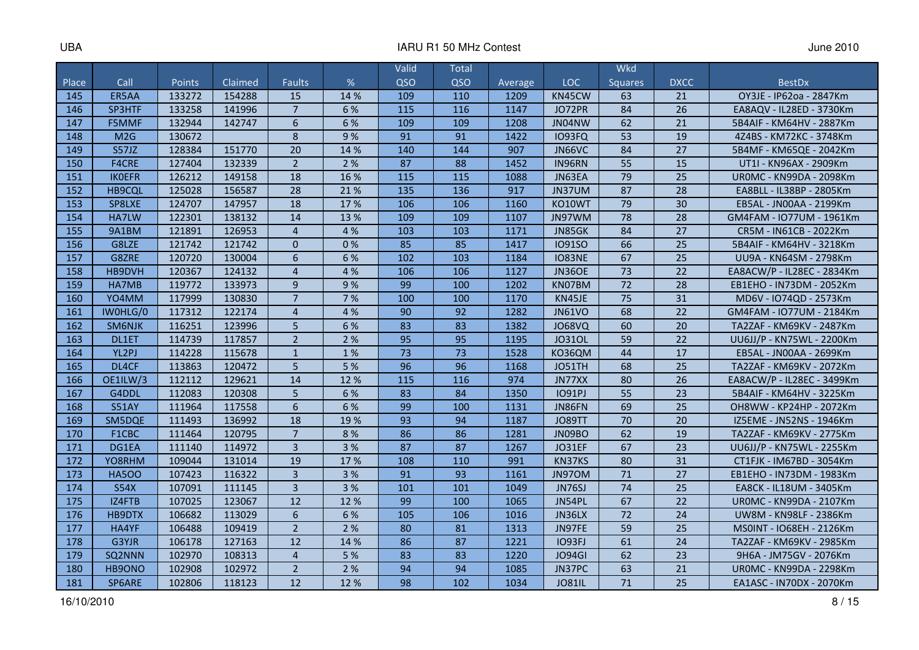|       |               |               |         |                |      | Valid | Total |         |               | Wkd            |                 |                                |
|-------|---------------|---------------|---------|----------------|------|-------|-------|---------|---------------|----------------|-----------------|--------------------------------|
| Place | Call          | <b>Points</b> | Claimed | <b>Faults</b>  | %    | QSO   | QSO   | Average | LOC           | <b>Squares</b> | <b>DXCC</b>     | <b>BestDx</b>                  |
| 145   | ER5AA         | 133272        | 154288  | 15             | 14 % | 109   | 110   | 1209    | KN45CW        | 63             | 21              | OY3JE - IP62oa - 2847Km        |
| 146   | SP3HTF        | 133258        | 141996  | $\overline{7}$ | 6 %  | 115   | 116   | 1147    | JO72PR        | 84             | 26              | EA8AQV - IL28ED - 3730Km       |
| 147   | F5MMF         | 132944        | 142747  | 6              | 6 %  | 109   | 109   | 1208    | JN04NW        | 62             | 21              | 5B4AIF - KM64HV - 2887Km       |
| 148   | M2G           | 130672        |         | 8              | 9%   | 91    | 91    | 1422    | <b>IO93FQ</b> | 53             | 19              | 4Z4BS - KM72KC - 3748Km        |
| 149   | S57JZ         | 128384        | 151770  | 20             | 14 % | 140   | 144   | 907     | JN66VC        | 84             | 27              | 5B4MF - KM65QE - 2042Km        |
| 150   | <b>F4CRE</b>  | 127404        | 132339  | $\overline{2}$ | 2 %  | 87    | 88    | 1452    | IN96RN        | 55             | 15              | UT1I - KN96AX - 2909Km         |
| 151   | <b>IKOEFR</b> | 126212        | 149158  | 18             | 16 % | 115   | 115   | 1088    | JN63EA        | 79             | 25              | UROMC - KN99DA - 2098Km        |
| 152   | HB9CQL        | 125028        | 156587  | 28             | 21 % | 135   | 136   | 917     | JN37UM        | 87             | 28              | EA8BLL - IL38BP - 2805Km       |
| 153   | SP8LXE        | 124707        | 147957  | 18             | 17%  | 106   | 106   | 1160    | KO10WT        | 79             | 30              | EB5AL - JN00AA - 2199Km        |
| 154   | HA7LW         | 122301        | 138132  | 14             | 13 % | 109   | 109   | 1107    | JN97WM        | 78             | 28              | GM4FAM - IO77UM - 1961Km       |
| 155   | 9A1BM         | 121891        | 126953  | $\overline{4}$ | 4 %  | 103   | 103   | 1171    | JN85GK        | 84             | $\overline{27}$ | CR5M - IN61CB - 2022Km         |
| 156   | G8LZE         | 121742        | 121742  | $\Omega$       | 0%   | 85    | 85    | 1417    | <b>IO91SO</b> | 66             | 25              | 5B4AIF - KM64HV - 3218Km       |
| 157   | G8ZRE         | 120720        | 130004  | 6              | 6 %  | 102   | 103   | 1184    | <b>IO83NE</b> | 67             | 25              | UU9A - KN64SM - 2798Km         |
| 158   | HB9DVH        | 120367        | 124132  | $\overline{4}$ | 4 %  | 106   | 106   | 1127    | <b>JN36OE</b> | 73             | 22              | EA8ACW/P - IL28EC - 2834Km     |
| 159   | HA7MB         | 119772        | 133973  | 9              | 9%   | 99    | 100   | 1202    | KN07BM        | 72             | 28              | EB1EHO - IN73DM - 2052Km       |
| 160   | YO4MM         | 117999        | 130830  | $\overline{7}$ | 7 %  | 100   | 100   | 1170    | KN45JE        | 75             | 31              | MD6V - IO74QD - 2573Km         |
| 161   | IWOHLG/0      | 117312        | 122174  | $\overline{4}$ | 4 %  | 90    | 92    | 1282    | <b>JN61VO</b> | 68             | 22              | GM4FAM - IO77UM - 2184Km       |
| 162   | SM6NJK        | 116251        | 123996  | 5              | 6 %  | 83    | 83    | 1382    | <b>JO68VQ</b> | 60             | 20              | TA2ZAF - KM69KV - 2487Km       |
| 163   | DL1ET         | 114739        | 117857  | $\overline{2}$ | 2 %  | 95    | 95    | 1195    | J0310L        | 59             | 22              | UU6JJ/P - KN75WL - 2200Km      |
| 164   | YL2PJ         | 114228        | 115678  | $\mathbf{1}$   | 1%   | 73    | 73    | 1528    | KO36QM        | 44             | 17              | EB5AL - JN00AA - 2699Km        |
| 165   | DL4CF         | 113863        | 120472  | 5              | 5 %  | 96    | 96    | 1168    | JO51TH        | 68             | 25              | TA2ZAF - KM69KV - 2072Km       |
| 166   | OE1ILW/3      | 112112        | 129621  | 14             | 12 % | 115   | 116   | 974     | JN77XX        | 80             | 26              | EA8ACW/P - IL28EC - 3499Km     |
| 167   | G4DDL         | 112083        | 120308  | 5              | 6 %  | 83    | 84    | 1350    | <b>IO91PJ</b> | 55             | 23              | 5B4AIF - KM64HV - 3225Km       |
| 168   | <b>S51AY</b>  | 111964        | 117558  | 6              | 6 %  | 99    | 100   | 1131    | JN86FN        | 69             | 25              | OH8WW - KP24HP - 2072Km        |
| 169   | SM5DQE        | 111493        | 136992  | 18             | 19%  | 93    | 94    | 1187    | <b>JO89TT</b> | 70             | 20              | IZ5EME - JN52NS - 1946Km       |
| 170   | F1CBC         | 111464        | 120795  | $\overline{7}$ | 8%   | 86    | 86    | 1281    | JN09BO        | 62             | 19              | TA2ZAF - KM69KV - 2775Km       |
| 171   | DG1EA         | 111140        | 114972  | $\overline{3}$ | 3 %  | 87    | 87    | 1267    | JO31EF        | 67             | 23              | UU6JJ/P - KN75WL - 2255Km      |
| 172   | YO8RHM        | 109044        | 131014  | 19             | 17%  | 108   | 110   | 991     | KN37KS        | 80             | 31              | CT1FJK - IM67BD - 3054Km       |
| 173   | <b>HA5OO</b>  | 107423        | 116322  | $\overline{3}$ | 3 %  | 91    | 93    | 1161    | JN97OM        | 71             | 27              | EB1EHO - IN73DM - 1983Km       |
| 174   | <b>S54X</b>   | 107091        | 111145  | $\overline{3}$ | 3 %  | 101   | 101   | 1049    | <b>JN76SJ</b> | 74             | 25              | EA8CK - IL18UM - 3405Km        |
| 175   | IZ4FTB        | 107025        | 123067  | 12             | 12 % | 99    | 100   | 1065    | JN54PL        | 67             | 22              | <b>UROMC - KN99DA - 2107Km</b> |
| 176   | <b>HB9DTX</b> | 106682        | 113029  | 6              | 6 %  | 105   | 106   | 1016    | JN36LX        | 72             | 24              | UW8M - KN98LF - 2386Km         |
| 177   | HA4YF         | 106488        | 109419  | $\overline{2}$ | 2 %  | 80    | 81    | 1313    | JN97FE        | 59             | 25              | MS0INT - IO68EH - 2126Km       |
| 178   | G3YJR         | 106178        | 127163  | 12             | 14 % | 86    | 87    | 1221    | <b>IO93FJ</b> | 61             | 24              | TA2ZAF - KM69KV - 2985Km       |
| 179   | SQ2NNN        | 102970        | 108313  | $\overline{4}$ | 5 %  | 83    | 83    | 1220    | <b>JO94GI</b> | 62             | 23              | 9H6A - JM75GV - 2076Km         |
| 180   | HB9ONO        | 102908        | 102972  | $\overline{2}$ | 2 %  | 94    | 94    | 1085    | JN37PC        | 63             | 21              | <b>UROMC - KN99DA - 2298Km</b> |
| 181   | SP6ARE        | 102806        | 118123  | 12             | 12 % | 98    | 102   | 1034    | <b>JO81IL</b> | 71             | 25              | EA1ASC - IN70DX - 2070Km       |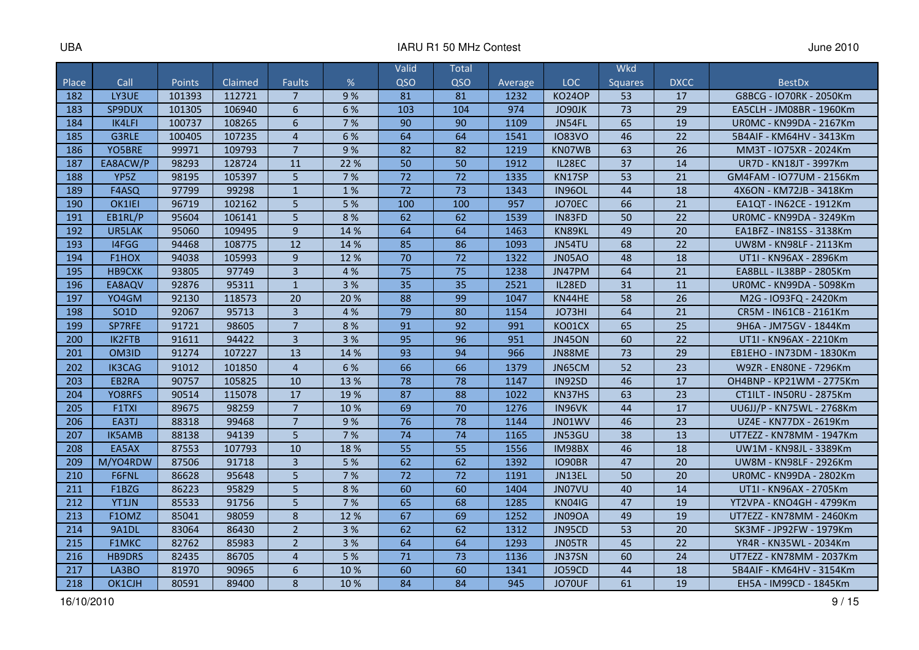|       |                   |               |         |                |      | Valid           | Total           |         |               | Wkd             |             |                                |
|-------|-------------------|---------------|---------|----------------|------|-----------------|-----------------|---------|---------------|-----------------|-------------|--------------------------------|
| Place | Call              | <b>Points</b> | Claimed | <b>Faults</b>  | %    | QSO             | QSO             | Average | <b>LOC</b>    | <b>Squares</b>  | <b>DXCC</b> | <b>BestDx</b>                  |
| 182   | LY3UE             | 101393        | 112721  | $\overline{7}$ | 9%   | 81              | 81              | 1232    | <b>KO24OP</b> | 53              | 17          | G8BCG - IO70RK - 2050Km        |
| 183   | SP9DUX            | 101305        | 106940  | $6\phantom{1}$ | 6 %  | 103             | 104             | 974     | JO90JK        | 73              | 29          | EA5CLH - JM08BR - 1960Km       |
| 184   | IK4LFI            | 100737        | 108265  | 6              | 7%   | 90              | 90              | 1109    | JN54FL        | 65              | 19          | <b>UROMC - KN99DA - 2167Km</b> |
| 185   | G3RLE             | 100405        | 107235  | $\overline{4}$ | 6 %  | 64              | 64              | 1541    | <b>IO83VO</b> | 46              | 22          | 5B4AIF - KM64HV - 3413Km       |
| 186   | YO5BRE            | 99971         | 109793  | $\overline{7}$ | 9%   | 82              | 82              | 1219    | KN07WB        | 63              | 26          | MM3T - IO75XR - 2024Km         |
| 187   | EA8ACW/P          | 98293         | 128724  | 11             | 22 % | 50              | 50              | 1912    | IL28EC        | 37              | 14          | UR7D - KN18JT - 3997Km         |
| 188   | YP <sub>5</sub> Z | 98195         | 105397  | 5              | 7%   | $\overline{72}$ | $\overline{72}$ | 1335    | KN17SP        | $\overline{53}$ | 21          | GM4FAM - IO77UM - 2156Km       |
| 189   | F4ASQ             | 97799         | 99298   | $\mathbf{1}$   | 1%   | 72              | 73              | 1343    | <b>IN96OL</b> | 44              | 18          | 4X6ON - KM72JB - 3418Km        |
| 190   | OK1IEI            | 96719         | 102162  | 5              | 5 %  | 100             | 100             | 957     | JO70EC        | 66              | 21          | EA1QT - IN62CE - 1912Km        |
| 191   | EB1RL/P           | 95604         | 106141  | 5              | 8%   | 62              | 62              | 1539    | IN83FD        | 50              | 22          | <b>UROMC - KN99DA - 3249Km</b> |
| 192   | UR5LAK            | 95060         | 109495  | $\overline{9}$ | 14 % | 64              | 64              | 1463    | KN89KL        | 49              | 20          | EA1BFZ - IN81SS - 3138Km       |
| 193   | 14FGG             | 94468         | 108775  | 12             | 14 % | 85              | 86              | 1093    | JN54TU        | 68              | 22          | UW8M - KN98LF - 2113Km         |
| 194   | F1HOX             | 94038         | 105993  | 9              | 12%  | 70              | 72              | 1322    | <b>JN05AO</b> | 48              | 18          | UT1I - KN96AX - 2896Km         |
| 195   | <b>HB9CXK</b>     | 93805         | 97749   | $\overline{3}$ | 4 %  | 75              | 75              | 1238    | JN47PM        | 64              | 21          | EA8BLL - IL38BP - 2805Km       |
| 196   | EA8AQV            | 92876         | 95311   | $\mathbf{1}$   | 3 %  | 35              | 35              | 2521    | IL28ED        | 31              | 11          | UR0MC - KN99DA - 5098Km        |
| 197   | YO4GM             | 92130         | 118573  | 20             | 20%  | 88              | 99              | 1047    | KN44HE        | 58              | 26          | M2G - IO93FQ - 2420Km          |
| 198   | SO <sub>1</sub> D | 92067         | 95713   | $\overline{3}$ | 4 %  | 79              | 80              | 1154    | JO73HI        | 64              | 21          | CR5M - IN61CB - 2161Km         |
| 199   | SP7RFE            | 91721         | 98605   | $\overline{7}$ | 8%   | 91              | 92              | 991     | KO01CX        | 65              | 25          | 9H6A - JM75GV - 1844Km         |
| 200   | IK2FTB            | 91611         | 94422   | $\overline{3}$ | 3 %  | 95              | 96              | 951     | <b>JN45ON</b> | 60              | 22          | UT1I - KN96AX - 2210Km         |
| 201   | OM3ID             | 91274         | 107227  | 13             | 14 % | 93              | 94              | 966     | JN88ME        | 73              | 29          | EB1EHO - IN73DM - 1830Km       |
| 202   | <b>IK3CAG</b>     | 91012         | 101850  | $\overline{4}$ | 6 %  | 66              | 66              | 1379    | JN65CM        | 52              | 23          | W9ZR - EN80NE - 7296Km         |
| 203   | EB2RA             | 90757         | 105825  | 10             | 13 % | 78              | 78              | 1147    | IN92SD        | 46              | 17          | OH4BNP - KP21WM - 2775Km       |
| 204   | YO8RFS            | 90514         | 115078  | 17             | 19%  | 87              | 88              | 1022    | KN37HS        | 63              | 23          | CT1ILT - IN50RU - 2875Km       |
| 205   | F1TXI             | 89675         | 98259   | $\overline{7}$ | 10 % | 69              | 70              | 1276    | IN96VK        | 44              | 17          | UU6JJ/P - KN75WL - 2768Km      |
| 206   | EA3TJ             | 88318         | 99468   | $\overline{7}$ | 9%   | 76              | 78              | 1144    | JN01WV        | 46              | 23          | UZ4E - KN77DX - 2619Km         |
| 207   | <b>IK5AMB</b>     | 88138         | 94139   | 5              | 7 %  | 74              | 74              | 1165    | JN53GU        | 38              | 13          | UT7EZZ - KN78MM - 1947Km       |
| 208   | EA5AX             | 87553         | 107793  | 10             | 18%  | 55              | 55              | 1556    | IM98BX        | 46              | 18          | UW1M - KN98JL - 3389Km         |
| 209   | M/YO4RDW          | 87506         | 91718   | $\overline{3}$ | 5 %  | 62              | 62              | 1392    | <b>IO90BR</b> | 47              | 20          | UW8M - KN98LF - 2926Km         |
| 210   | F6FNL             | 86628         | 95648   | 5              | 7%   | $\overline{72}$ | 72              | 1191    | JN13EL        | 50              | 20          | UROMC - KN99DA - 2802Km        |
| 211   | F1BZG             | 86223         | 95829   | 5              | 8 %  | 60              | 60              | 1404    | JN07VU        | 40              | 14          | UT1I - KN96AX - 2705Km         |
| 212   | YT1JN             | 85533         | 91756   | 5              | 7 %  | 65              | 68              | 1285    | <b>KN04IG</b> | 47              | 19          | YT2VPA - KNO4GH - 4799Km       |
| 213   | F1OMZ             | 85041         | 98059   | 8              | 12%  | 67              | 69              | 1252    | <b>JN09OA</b> | 49              | 19          | UT7EZZ - KN78MM - 2460Km       |
| 214   | 9A1DL             | 83064         | 86430   | $\overline{2}$ | 3%   | 62              | 62              | 1312    | JN95CD        | 53              | 20          | SK3MF - JP92FW - 1979Km        |
| 215   | F1MKC             | 82762         | 85983   | $\overline{2}$ | 3 %  | 64              | 64              | 1293    | JN05TR        | 45              | 22          | YR4R - KN35WL - 2034Km         |
| 216   | <b>HB9DRS</b>     | 82435         | 86705   | $\overline{4}$ | 5 %  | 71              | 73              | 1136    | JN37SN        | 60              | 24          | UT7EZZ - KN78MM - 2037Km       |
| 217   | LA3BO             | 81970         | 90965   | 6              | 10 % | 60              | 60              | 1341    | <b>JO59CD</b> | 44              | 18          | 5B4AIF - KM64HV - 3154Km       |
| 218   | OK1CJH            | 80591         | 89400   | 8              | 10 % | 84              | 84              | 945     | JO70UF        | 61              | 19          | EH5A - IM99CD - 1845Km         |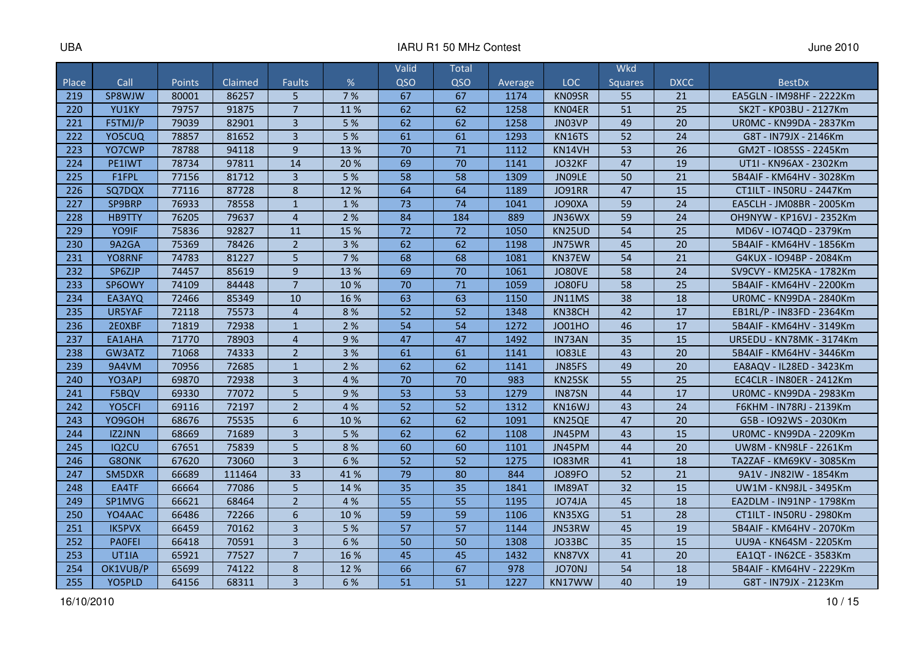#### IARU R1 50 MHz Contest **June 2010**

|       |                    |               |         |                |      | Valid           | <b>Total</b>    |         |               | Wkd            |             |                                 |
|-------|--------------------|---------------|---------|----------------|------|-----------------|-----------------|---------|---------------|----------------|-------------|---------------------------------|
| Place | Call               | <b>Points</b> | Claimed | <b>Faults</b>  | %    | QSO             | QSO             | Average | LOC           | <b>Squares</b> | <b>DXCC</b> | <b>BestDx</b>                   |
| 219   | SP8WJW             | 80001         | 86257   | 5              | 7 %  | 67              | 67              | 1174    | KN09SR        | 55             | 21          | EA5GLN - IM98HF - 2222Km        |
| 220   | YU1KY              | 79757         | 91875   | $\overline{7}$ | 11%  | 62              | 62              | 1258    | KN04ER        | 51             | 25          | SK2T - KP03BU - 2127Km          |
| 221   | F5TMJ/P            | 79039         | 82901   | $\overline{3}$ | 5 %  | 62              | 62              | 1258    | JN03VP        | 49             | 20          | <b>UROMC - KN99DA - 2837Km</b>  |
| 222   | YO5CUQ             | 78857         | 81652   | $\overline{3}$ | 5%   | 61              | 61              | 1293    | KN16TS        | 52             | 24          | G8T - IN79JX - 2146Km           |
| 223   | YO7CWP             | 78788         | 94118   | $\overline{9}$ | 13 % | 70              | 71              | 1112    | KN14VH        | 53             | 26          | GM2T - IO85SS - 2245Km          |
| 224   | PE1IWT             | 78734         | 97811   | 14             | 20 % | 69              | 70              | 1141    | JO32KF        | 47             | 19          | UT1I - KN96AX - 2302Km          |
| 225   | F1FPL              | 77156         | 81712   | $\overline{3}$ | 5 %  | 58              | 58              | 1309    | JN09LE        | 50             | 21          | 5B4AIF - KM64HV - 3028Km        |
| 226   | SQ7DQX             | 77116         | 87728   | 8              | 12 % | 64              | 64              | 1189    | <b>JO91RR</b> | 47             | 15          | CT1ILT - IN50RU - 2447Km        |
| 227   | SP9BRP             | 76933         | 78558   | $\mathbf{1}$   | 1%   | $\overline{73}$ | $\overline{74}$ | 1041    | JO90XA        | 59             | 24          | EA5CLH - JM08BR - 2005Km        |
| 228   | <b>HB9TTY</b>      | 76205         | 79637   | $\overline{4}$ | 2%   | 84              | 184             | 889     | JN36WX        | 59             | 24          | OH9NYW - KP16VJ - 2352Km        |
| 229   | YO9IF              | 75836         | 92827   | 11             | 15 % | 72              | 72              | 1050    | KN25UD        | 54             | 25          | MD6V - IO74QD - 2379Km          |
| 230   | 9A2GA              | 75369         | 78426   | $\overline{2}$ | 3%   | 62              | 62              | 1198    | JN75WR        | 45             | 20          | 5B4AIF - KM64HV - 1856Km        |
| 231   | YO8RNF             | 74783         | 81227   | 5              | 7%   | 68              | 68              | 1081    | KN37EW        | 54             | 21          | G4KUX - IO94BP - 2084Km         |
| 232   | SP6ZJP             | 74457         | 85619   | 9              | 13 % | 69              | 70              | 1061    | <b>JO80VE</b> | 58             | 24          | SV9CVY - KM25KA - 1782Km        |
| 233   | SP6OWY             | 74109         | 84448   | $\overline{7}$ | 10 % | 70              | 71              | 1059    | JO80FU        | 58             | 25          | 5B4AIF - KM64HV - 2200Km        |
| 234   | EA3AYQ             | 72466         | 85349   | 10             | 16 % | 63              | 63              | 1150    | JN11MS        | 38             | 18          | <b>UROMC - KN99DA - 2840Km</b>  |
| 235   | UR5YAF             | 72118         | 75573   | $\overline{4}$ | 8%   | 52              | 52              | 1348    | KN38CH        | 42             | 17          | EB1RL/P - IN83FD - 2364Km       |
| 236   | 2E0XBF             | 71819         | 72938   | $\mathbf{1}$   | 2 %  | 54              | 54              | 1272    | <b>JO01HO</b> | 46             | 17          | 5B4AIF - KM64HV - 3149Km        |
| 237   | EA1AHA             | 71770         | 78903   | $\overline{4}$ | 9%   | 47              | 47              | 1492    | IN73AN        | 35             | 15          | UR5EDU - KN78MK - 3174Km        |
| 238   | GW3ATZ             | 71068         | 74333   | $\overline{2}$ | 3 %  | 61              | 61              | 1141    | <b>IO83LE</b> | 43             | 20          | 5B4AIF - KM64HV - 3446Km        |
| 239   | 9A4VM              | 70956         | 72685   | $\mathbf{1}$   | 2 %  | 62              | 62              | 1141    | JN85FS        | 49             | 20          | EA8AQV - IL28ED - 3423Km        |
| 240   | YO3APJ             | 69870         | 72938   | $\overline{3}$ | 4 %  | 70              | 70              | 983     | KN25SK        | 55             | 25          | <b>EC4CLR - IN80ER - 2412Km</b> |
| 241   | F5BQV              | 69330         | 77072   | 5              | 9%   | 53              | 53              | 1279    | IN87SN        | 44             | 17          | <b>UROMC - KN99DA - 2983Km</b>  |
| 242   | YO5CFI             | 69116         | 72197   | $\overline{2}$ | 4 %  | 52              | 52              | 1312    | KN16WJ        | 43             | 24          | F6KHM - IN78RJ - 2139Km         |
| 243   | YO9GOH             | 68676         | 75535   | 6              | 10%  | 62              | 62              | 1091    | KN25QE        | 47             | 20          | G5B - IO92WS - 2030Km           |
| 244   | <b>IZ2JNN</b>      | 68669         | 71689   | 3              | 5 %  | 62              | 62              | 1108    | JN45PM        | 43             | 15          | <b>UROMC - KN99DA - 2209Km</b>  |
| 245   | IQ <sub>2</sub> CU | 67651         | 75839   | 5              | 8%   | 60              | 60              | 1101    | JN45PM        | 44             | 20          | UW8M - KN98LF - 2261Km          |
| 246   | G8ONK              | 67620         | 73060   | $\overline{3}$ | 6 %  | 52              | 52              | 1275    | <b>IO83MR</b> | 41             | 18          | TA2ZAF - KM69KV - 3085Km        |
| 247   | SM5DXR             | 66689         | 111464  | 33             | 41%  | 79              | 80              | 844     | <b>JO89FO</b> | 52             | 21          | 9A1V - JN82IW - 1854Km          |
| 248   | EA4TF              | 66664         | 77086   | 5              | 14 % | 35              | 35              | 1841    | IM89AT        | 32             | 15          | UW1M - KN98JL - 3495Km          |
| 249   | SP1MVG             | 66621         | 68464   | $\overline{2}$ | 4 %  | 55              | 55              | 1195    | <b>JO74JA</b> | 45             | 18          | EA2DLM - IN91NP - 1798Km        |
| 250   | YO4AAC             | 66486         | 72266   | 6              | 10 % | 59              | 59              | 1106    | KN35XG        | 51             | 28          | CT1ILT - IN50RU - 2980Km        |
| 251   | <b>IK5PVX</b>      | 66459         | 70162   | $\overline{3}$ | 5 %  | 57              | 57              | 1144    | JN53RW        | 45             | 19          | 5B4AIF - KM64HV - 2070Km        |
| 252   | <b>PAOFEI</b>      | 66418         | 70591   | 3              | 6 %  | 50              | 50              | 1308    | JO33BC        | 35             | 15          | UU9A - KN64SM - 2205Km          |
| 253   | UT1IA              | 65921         | 77527   | $\overline{7}$ | 16 % | 45              | 45              | 1432    | KN87VX        | 41             | 20          | EA1QT - IN62CE - 3583Km         |
| 254   | OK1VUB/P           | 65699         | 74122   | 8              | 12 % | 66              | 67              | 978     | <b>JO70NJ</b> | 54             | 18          | 5B4AIF - KM64HV - 2229Km        |
| 255   | YO5PLD             | 64156         | 68311   | $\overline{3}$ | 6 %  | 51              | 51              | 1227    | KN17WW        | 40             | 19          | G8T - IN79JX - 2123Km           |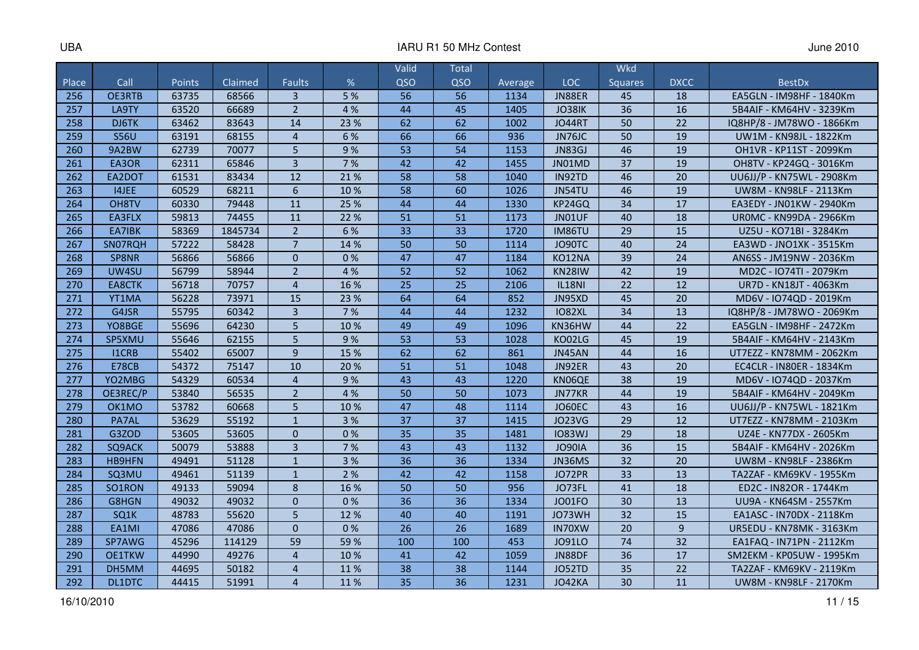#### IARU R1 50 MHz Contest **June 2010**

|       |               |        |         |                |      | Valid           | <b>Total</b> |         |                     | <b>Wkd</b>     |             |                           |
|-------|---------------|--------|---------|----------------|------|-----------------|--------------|---------|---------------------|----------------|-------------|---------------------------|
| Place | Call          | Points | Claimed | <b>Faults</b>  | %    | QSO             | QSO          | Average | LOC                 | <b>Squares</b> | <b>DXCC</b> | <b>BestDx</b>             |
| 256   | <b>OE3RTB</b> | 63735  | 68566   | 3              | 5 %  | 56              | 56           | 1134    | JN88ER              | 45             | 18          | EA5GLN - IM98HF - 1840Km  |
| 257   | LA9TY         | 63520  | 66689   | $\overline{2}$ | 4 %  | 44              | 45           | 1405    | JO38IK              | 36             | 16          | 5B4AIF - KM64HV - 3239Km  |
| 258   | DJ6TK         | 63462  | 83643   | 14             | 23 % | 62              | 62           | 1002    | <b>JO44RT</b>       | 50             | 22          | IQ8HP/8 - JM78WO - 1866Km |
| 259   | <b>S56U</b>   | 63191  | 68155   | $\overline{4}$ | 6 %  | 66              | 66           | 936     | JN76JC              | 50             | 19          | UW1M - KN98JL - 1822Km    |
| 260   | 9A2BW         | 62739  | 70077   | 5              | 9%   | 53              | 54           | 1153    | JN83GJ              | 46             | 19          | OH1VR - KP11ST - 2099Km   |
| 261   | EA3OR         | 62311  | 65846   | $\overline{3}$ | 7%   | 42              | 42           | 1455    | JN01MD              | 37             | 19          | OH8TV - KP24GQ - 3016Km   |
| 262   | EA2DOT        | 61531  | 83434   | 12             | 21%  | 58              | 58           | 1040    | IN92TD              | 46             | 20          | UU6JJ/P - KN75WL - 2908Km |
| 263   | I4JEE         | 60529  | 68211   | 6              | 10 % | 58              | 60           | 1026    | JN54TU              | 46             | 19          | UW8M - KN98LF - 2113Km    |
| 264   | OH8TV         | 60330  | 79448   | 11             | 25 % | 44              | 44           | 1330    | KP24GQ              | 34             | 17          | EA3EDY - JN01KW - 2940Km  |
| 265   | EA3FLX        | 59813  | 74455   | 11             | 22 % | 51              | 51           | 1173    | JN01UF              | 40             | 18          | UR0MC - KN99DA - 2966Km   |
| 266   | EA7IBK        | 58369  | 1845734 | $\overline{2}$ | 6 %  | 33              | 33           | 1720    | IM86TU              | 29             | 15          | UZ5U - KO71BI - 3284Km    |
| 267   | SN07RQH       | 57222  | 58428   | $\overline{7}$ | 14 % | 50              | 50           | 1114    | JO90TC              | 40             | 24          | EA3WD - JNO1XK - 3515Km   |
| 268   | SP8NR         | 56866  | 56866   | $\Omega$       | 0%   | 47              | 47           | 1184    | KO12NA              | 39             | 24          | AN6SS - JM19NW - 2036Km   |
| 269   | UW4SU         | 56799  | 58944   | $\overline{2}$ | 4 %  | 52              | 52           | 1062    | KN <sub>28</sub> IW | 42             | 19          | MD2C - IO74TI - 2079Km    |
| 270   | <b>EA8CTK</b> | 56718  | 70757   | $\overline{4}$ | 16 % | 25              | 25           | 2106    | <b>IL18NI</b>       | 22             | 12          | UR7D - KN18JT - 4063Km    |
| 271   | YT1MA         | 56228  | 73971   | 15             | 23 % | 64              | 64           | 852     | JN95XD              | 45             | 20          | MD6V - IO74QD - 2019Km    |
| 272   | G4JSR         | 55795  | 60342   | $\overline{3}$ | 7 %  | 44              | 44           | 1232    | <b>IO82XL</b>       | 34             | 13          | IQ8HP/8 - JM78WO - 2069Km |
| 273   | YO8BGE        | 55696  | 64230   | 5              | 10 % | 49              | 49           | 1096    | KN36HW              | 44             | 22          | EA5GLN - IM98HF - 2472Km  |
| 274   | SP5XMU        | 55646  | 62155   | 5              | 9%   | 53              | 53           | 1028    | KO02LG              | 45             | 19          | 5B4AIF - KM64HV - 2143Km  |
| 275   | I1CRB         | 55402  | 65007   | 9              | 15 % | 62              | 62           | 861     | JN45AN              | 44             | 16          | UT7EZZ - KN78MM - 2062Km  |
| 276   | <b>E78CB</b>  | 54372  | 75147   | 10             | 20%  | 51              | 51           | 1048    | JN92ER              | 43             | 20          | EC4CLR - IN80ER - 1834Km  |
| 277   | YO2MBG        | 54329  | 60534   | $\overline{4}$ | 9%   | 43              | 43           | 1220    | KN06QE              | 38             | 19          | MD6V - IO74QD - 2037Km    |
| 278   | OE3REC/P      | 53840  | 56535   | $\overline{2}$ | 4 %  | 50              | 50           | 1073    | JN77KR              | 44             | 19          | 5B4AIF - KM64HV - 2049Km  |
| 279   | OK1MO         | 53782  | 60668   | 5              | 10%  | 47              | 48           | 1114    | <b>JO60EC</b>       | 43             | 16          | UU6JJ/P - KN75WL - 1821Km |
| 280   | PA7AL         | 53629  | 55192   | $\mathbf{1}$   | 3 %  | 37              | 37           | 1415    | <b>JO23VG</b>       | 29             | 12          | UT7EZZ - KN78MM - 2103Km  |
| 281   | G3ZOD         | 53605  | 53605   | $\mathbf 0$    | 0%   | 35              | 35           | 1481    | <b>IO83WJ</b>       | 29             | 18          | UZ4E - KN77DX - 2605Km    |
| 282   | SQ9ACK        | 50079  | 53888   | 3              | 7 %  | 43              | 43           | 1132    | <b>JO90IA</b>       | 36             | 15          | 5B4AIF - KM64HV - 2026Km  |
| 283   | <b>HB9HFN</b> | 49491  | 51128   | $\mathbf{1}$   | 3 %  | 36              | 36           | 1334    | JN36MS              | 32             | 20          | UW8M - KN98LF - 2386Km    |
| 284   | SQ3MU         | 49461  | 51139   | $\mathbf{1}$   | 2 %  | 42              | 42           | 1158    | JO72PR              | 33             | 13          | TA2ZAF - KM69KV - 1955Km  |
| 285   | SO1RON        | 49133  | 59094   | 8              | 16 % | 50              | 50           | 956     | JO73FL              | 41             | 18          | ED2C - IN82OR - 1744Km    |
| 286   | G8HGN         | 49032  | 49032   | $\Omega$       | 0%   | $\overline{36}$ | 36           | 1334    | <b>JO01FO</b>       | 30             | 13          | UU9A - KN64SM - 2557Km    |
| 287   | SQ1K          | 48783  | 55620   | 5              | 12 % | 40              | 40           | 1191    | JO73WH              | 32             | 15          | EA1ASC - IN70DX - 2118Km  |
| 288   | EA1MI         | 47086  | 47086   | $\Omega$       | 0%   | 26              | 26           | 1689    | IN70XW              | 20             | 9           | UR5EDU - KN78MK - 3163Km  |
| 289   | SP7AWG        | 45296  | 114129  | 59             | 59 % | 100             | 100          | 453     | J091LO              | 74             | 32          | EA1FAQ - IN71PN - 2112Km  |
| 290   | <b>OE1TKW</b> | 44990  | 49276   | $\overline{4}$ | 10 % | 41              | 42           | 1059    | <b>JN88DF</b>       | 36             | 17          | SM2EKM - KP05UW - 1995Km  |
| 291   | DH5MM         | 44695  | 50182   | $\overline{4}$ | 11%  | 38              | 38           | 1144    | JO52TD              | 35             | 22          | TA2ZAF - KM69KV - 2119Km  |
| 292   | DL1DTC        | 44415  | 51991   | $\overline{4}$ | 11%  | 35              | 36           | 1231    | JO42KA              | 30             | 11          | UW8M - KN98LF - 2170Km    |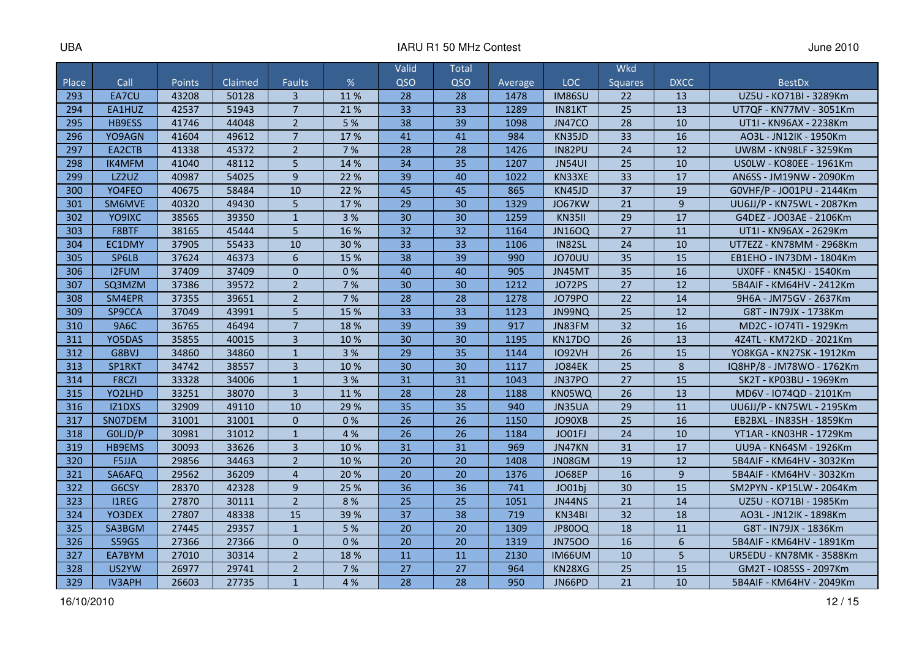#### IARU R1 50 MHz Contest **June 2010**

|       |               |        |         |                |      | Valid           | Total           |         |               | <b>Wkd</b>     |             |                           |
|-------|---------------|--------|---------|----------------|------|-----------------|-----------------|---------|---------------|----------------|-------------|---------------------------|
| Place | Call          | Points | Claimed | <b>Faults</b>  | %    | QSO             | QSO             | Average | <b>LOC</b>    | <b>Squares</b> | <b>DXCC</b> | <b>BestDx</b>             |
| 293   | EA7CU         | 43208  | 50128   | $\overline{3}$ | 11%  | 28              | 28              | 1478    | <b>IM86SU</b> | 22             | 13          | UZ5U - KO71BI - 3289Km    |
| 294   | EA1HUZ        | 42537  | 51943   | $\overline{7}$ | 21%  | 33              | 33              | 1289    | IN81KT        | 25             | 13          | UT7QF - KN77MV - 3051Km   |
| 295   | HB9ESS        | 41746  | 44048   | $\overline{2}$ | 5 %  | 38              | 39              | 1098    | <b>JN47CO</b> | 28             | 10          | UT1I - KN96AX - 2238Km    |
| 296   | YO9AGN        | 41604  | 49612   | $\overline{7}$ | 17%  | 41              | 41              | 984     | KN35JD        | 33             | 16          | AO3L - JN12IK - 1950Km    |
| 297   | EA2CTB        | 41338  | 45372   | $\overline{2}$ | 7%   | $\overline{28}$ | 28              | 1426    | IN82PU        | 24             | 12          | UW8M - KN98LF - 3259Km    |
| 298   | <b>IK4MFM</b> | 41040  | 48112   | 5              | 14 % | 34              | 35              | 1207    | <b>JN54UI</b> | 25             | 10          | US0LW - KO80EE - 1961Km   |
| 299   | LZ2UZ         | 40987  | 54025   | 9              | 22 % | 39              | 40              | 1022    | KN33XE        | 33             | 17          | AN6SS - JM19NW - 2090Km   |
| 300   | YO4FEO        | 40675  | 58484   | 10             | 22 % | 45              | 45              | 865     | KN45JD        | 37             | 19          | G0VHF/P - JO01PU - 2144Km |
| 301   | SM6MVE        | 40320  | 49430   | 5              | 17%  | 29              | 30              | 1329    | JO67KW        | 21             | 9           | UU6JJ/P - KN75WL - 2087Km |
| 302   | YO9IXC        | 38565  | 39350   | $\mathbf{1}$   | 3 %  | 30              | 30              | 1259    | <b>KN35II</b> | 29             | 17          | G4DEZ - JO03AE - 2106Km   |
| 303   | F8BTF         | 38165  | 45444   | 5              | 16 % | 32              | 32              | 1164    | <b>JN16OQ</b> | 27             | 11          | UT1I - KN96AX - 2629Km    |
| 304   | EC1DMY        | 37905  | 55433   | 10             | 30%  | 33              | 33              | 1106    | <b>IN82SL</b> | 24             | 10          | UT7EZZ - KN78MM - 2968Km  |
| 305   | SP6LB         | 37624  | 46373   | 6              | 15 % | 38              | 39              | 990     | <b>JO70UU</b> | 35             | 15          | EB1EHO - IN73DM - 1804Km  |
| 306   | <b>I2FUM</b>  | 37409  | 37409   | $\Omega$       | 0%   | 40              | 40              | 905     | JN45MT        | 35             | 16          | UX0FF - KN45KJ - 1540Km   |
| 307   | SQ3MZM        | 37386  | 39572   | $\overline{2}$ | 7%   | 30              | 30              | 1212    | JO72PS        | 27             | 12          | 5B4AIF - KM64HV - 2412Km  |
| 308   | SM4EPR        | 37355  | 39651   | $\overline{2}$ | 7 %  | 28              | 28              | 1278    | <b>JO79PO</b> | 22             | 14          | 9H6A - JM75GV - 2637Km    |
| 309   | SP9CCA        | 37049  | 43991   | 5              | 15 % | 33              | 33              | 1123    | JN99NQ        | 25             | 12          | G8T - IN79JX - 1738Km     |
| 310   | <b>9A6C</b>   | 36765  | 46494   | $\overline{7}$ | 18 % | 39              | 39              | 917     | JN83FM        | 32             | 16          | MD2C - IO74TI - 1929Km    |
| 311   | YO5DAS        | 35855  | 40015   | $\overline{3}$ | 10 % | 30              | 30              | 1195    | KN17DO        | 26             | 13          | 4Z4TL - KM72KD - 2021Km   |
| 312   | G8BVJ         | 34860  | 34860   | $\mathbf{1}$   | 3 %  | 29              | 35              | 1144    | <b>IO92VH</b> | 26             | 15          | YO8KGA - KN27SK - 1912Km  |
| 313   | SP1RKT        | 34742  | 38557   | $\overline{3}$ | 10%  | 30              | 30              | 1117    | JO84EK        | 25             | 8           | IQ8HP/8 - JM78WO - 1762Km |
| 314   | F8CZI         | 33328  | 34006   | $\mathbf{1}$   | 3 %  | 31              | 31              | 1043    | JN37PO        | 27             | 15          | SK2T - KP03BU - 1969Km    |
| 315   | YO2LHD        | 33251  | 38070   | $\overline{3}$ | 11%  | 28              | 28              | 1188    | KN05WQ        | 26             | 13          | MD6V - IO74QD - 2101Km    |
| 316   | IZ1DXS        | 32909  | 49110   | 10             | 29 % | 35              | 35              | 940     | JN35UA        | 29             | 11          | UU6JJ/P - KN75WL - 2195Km |
| 317   | SN07DEM       | 31001  | 31001   | $\Omega$       | 0%   | 26              | 26              | 1150    | JO90XB        | 25             | 16          | EB2BXL - IN83SH - 1859Km  |
| 318   | GOLJD/P       | 30981  | 31012   | $\mathbf{1}$   | 4 %  | 26              | 26              | 1184    | JO01FJ        | 24             | 10          | YT1AR - KN03HR - 1729Km   |
| 319   | HB9EMS        | 30093  | 33626   | 3              | 10%  | 31              | 31              | 969     | JN47KN        | 31             | 17          | UU9A - KN64SM - 1926Km    |
| 320   | F5JJA         | 29856  | 34463   | $\overline{2}$ | 10 % | 20              | 20              | 1408    | JN08GM        | 19             | 12          | 5B4AIF - KM64HV - 3032Km  |
| 321   | SA6AFQ        | 29562  | 36209   | $\overline{4}$ | 20%  | 20              | 20              | 1376    | <b>JO68EP</b> | 16             | 9           | 5B4AIF - KM64HV - 3032Km  |
| 322   | G6CSY         | 28370  | 42328   | 9              | 25 % | 36              | 36              | 741     | JO01bj        | 30             | 15          | SM2PYN - KP15LW - 2064Km  |
| 323   | <b>I1REG</b>  | 27870  | 30111   | $\overline{2}$ | 8%   | $\overline{25}$ | $\overline{25}$ | 1051    | <b>JN44NS</b> | 21             | 14          | UZ5U - KO71BI - 1985Km    |
| 324   | YO3DEX        | 27807  | 48338   | 15             | 39 % | 37              | 38              | 719     | KN34BI        | 32             | 18          | AO3L - JN12IK - 1898Km    |
| 325   | SA3BGM        | 27445  | 29357   | $\mathbf{1}$   | 5 %  | 20              | 20              | 1309    | <b>JP80OQ</b> | 18             | 11          | G8T - IN79JX - 1836Km     |
| 326   | <b>S59GS</b>  | 27366  | 27366   | $\Omega$       | 0%   | 20              | 20              | 1319    | <b>JN7500</b> | 16             | 6           | 5B4AIF - KM64HV - 1891Km  |
| 327   | EA7BYM        | 27010  | 30314   | $\overline{2}$ | 18%  | 11              | 11              | 2130    | <b>IM66UM</b> | 10             | 5           | UR5EDU - KN78MK - 3588Km  |
| 328   | US2YW         | 26977  | 29741   | $\overline{2}$ | 7 %  | 27              | 27              | 964     | KN28XG        | 25             | 15          | GM2T - IO85SS - 2097Km    |
| 329   | <b>IV3APH</b> | 26603  | 27735   | $\mathbf{1}$   | 4 %  | 28              | 28              | 950     | JN66PD        | 21             | 10          | 5B4AIF - KM64HV - 2049Km  |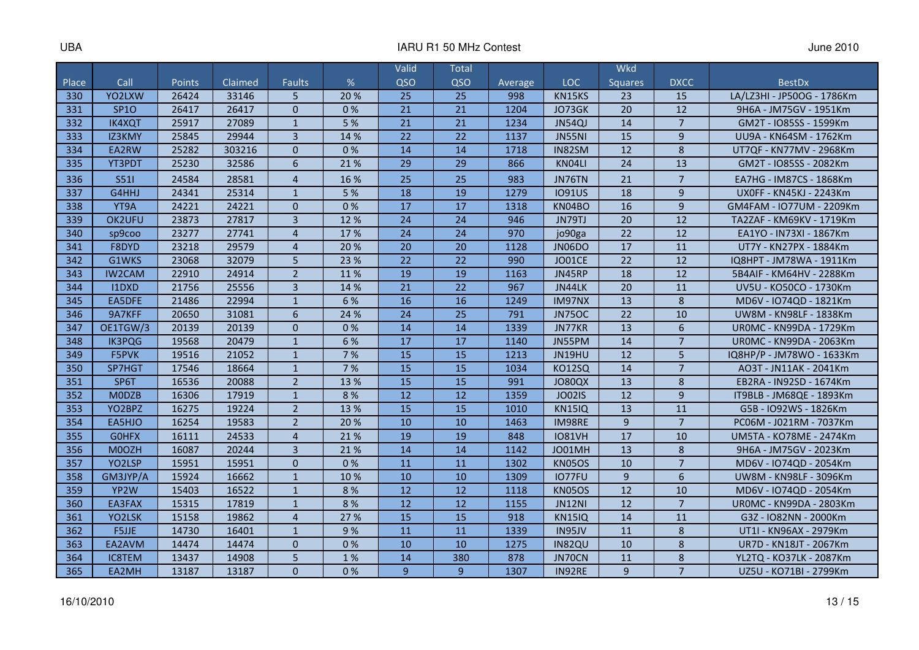|       |               |        |                |                |      | Valid           | Total           |         |               | <b>Wkd</b>     |                |                                |
|-------|---------------|--------|----------------|----------------|------|-----------------|-----------------|---------|---------------|----------------|----------------|--------------------------------|
| Place | Call          | Points | <b>Claimed</b> | <b>Faults</b>  | %    | OSO             | QSO             | Average | <b>LOC</b>    | <b>Squares</b> | <b>DXCC</b>    | <b>BestDx</b>                  |
| 330   | YO2LXW        | 26424  | 33146          | 5              | 20%  | 25              | 25              | 998     | KN15KS        | 23             | 15             | LA/LZ3HI - JP50OG - 1786Km     |
| 331   | <b>SP10</b>   | 26417  | 26417          | $\Omega$       | 0%   | 21              | 21              | 1204    | JO73GK        | 20             | 12             | 9H6A - JM75GV - 1951Km         |
| 332   | <b>IK4XQT</b> | 25917  | 27089          | $\mathbf{1}$   | 5 %  | 21              | 21              | 1234    | JN54QJ        | 14             | $\overline{7}$ | GM2T - IO85SS - 1599Km         |
| 333   | IZ3KMY        | 25845  | 29944          | $\overline{3}$ | 14 % | $\overline{22}$ | $\overline{22}$ | 1137    | <b>JN55NI</b> | 15             | 9              | UU9A - KN64SM - 1762Km         |
| 334   | EA2RW         | 25282  | 303216         | $\Omega$       | 0%   | 14              | 14              | 1718    | IN82SM        | 12             | 8              | UT7QF - KN77MV - 2968Km        |
| 335   | YT3PDT        | 25230  | 32586          | 6              | 21%  | 29              | 29              | 866     | KN04LI        | 24             | 13             | GM2T - IO85SS - 2082Km         |
| 336   | S511          | 24584  | 28581          | $\overline{4}$ | 16 % | 25              | 25              | 983     | JN76TN        | 21             | $\overline{7}$ | EA7HG - IM87CS - 1868Km        |
| 337   | G4HHJ         | 24341  | 25314          | $\mathbf{1}$   | 5 %  | 18              | 19              | 1279    | <b>IO91US</b> | 18             | 9              | UX0FF - KN45KJ - 2243Km        |
| 338   | YT9A          | 24221  | 24221          | $\mathbf{0}$   | 0%   | 17              | 17              | 1318    | KN04BO        | 16             | 9              | GM4FAM - IO77UM - 2209Km       |
| 339   | OK2UFU        | 23873  | 27817          | $\overline{3}$ | 12 % | 24              | 24              | 946     | JN79TJ        | 20             | 12             | TA2ZAF - KM69KV - 1719Km       |
| 340   | sp9coo        | 23277  | 27741          | $\overline{4}$ | 17%  | 24              | 24              | 970     | jo90ga        | 22             | 12             | EA1YO - IN73XI - 1867Km        |
| 341   | F8DYD         | 23218  | 29579          | $\overline{4}$ | 20 % | 20              | 20              | 1128    | JN06DO        | 17             | 11             | UT7Y - KN27PX - 1884Km         |
| 342   | G1WKS         | 23068  | 32079          | 5              | 23 % | 22              | 22              | 990     | JO01CE        | 22             | 12             | IQ8HPT - JM78WA - 1911Km       |
| 343   | <b>IW2CAM</b> | 22910  | 24914          | $\overline{2}$ | 11%  | 19              | 19              | 1163    | JN45RP        | 18             | 12             | 5B4AIF - KM64HV - 2288Km       |
| 344   | I1DXD         | 21756  | 25556          | $\overline{3}$ | 14 % | 21              | 22              | 967     | JN44LK        | 20             | 11             | UV5U - KO50CO - 1730Km         |
| 345   | EA5DFE        | 21486  | 22994          | $\mathbf{1}$   | 6 %  | 16              | 16              | 1249    | IM97NX        | 13             | 8              | MD6V - IO74QD - 1821Km         |
| 346   | 9A7KFF        | 20650  | 31081          | $6\phantom{1}$ | 24 % | 24              | 25              | 791     | <b>JN75OC</b> | 22             | 10             | UW8M - KN98LF - 1838Km         |
| 347   | OE1TGW/3      | 20139  | 20139          | $\mathbf 0$    | 0%   | 14              | 14              | 1339    | JN77KR        | 13             | 6              | UROMC - KN99DA - 1729Km        |
| 348   | <b>IK3PQG</b> | 19568  | 20479          | $\mathbf{1}$   | 6 %  | 17              | 17              | 1140    | JN55PM        | 14             | 7              | <b>UROMC - KN99DA - 2063Km</b> |
| 349   | F5PVK         | 19516  | 21052          | $\mathbf{1}$   | 7 %  | 15              | 15              | 1213    | JN19HU        | 12             | 5              | IQ8HP/P - JM78WO - 1633Km      |
| 350   | SP7HGT        | 17546  | 18664          | $\mathbf{1}$   | 7 %  | 15              | 15              | 1034    | KO12SQ        | 14             | $\overline{7}$ | AO3T - JN11AK - 2041Km         |
| 351   | SP6T          | 16536  | 20088          | $\overline{2}$ | 13 % | 15              | 15              | 991     | <b>JO80QX</b> | 13             | 8              | EB2RA - IN92SD - 1674Km        |
| 352   | <b>MODZB</b>  | 16306  | 17919          | $\mathbf{1}$   | 8%   | 12              | 12              | 1359    | <b>JO02IS</b> | 12             | 9              | IT9BLB - JM68QE - 1893Km       |
| 353   | YO2BPZ        | 16275  | 19224          | $\overline{2}$ | 13 % | 15              | 15              | 1010    | <b>KN15IQ</b> | 13             | 11             | G5B - IO92WS - 1826Km          |
| 354   | EA5HJO        | 16254  | 19583          | $\overline{2}$ | 20 % | 10              | 10              | 1463    | IM98RE        | 9              | $\overline{7}$ | PC06M - J021RM - 7037Km        |
| 355   | <b>GOHFX</b>  | 16111  | 24533          | $\overline{4}$ | 21%  | 19              | 19              | 848     | <b>IO81VH</b> | 17             | 10             | UM5TA - KO78ME - 2474Km        |
| 356   | M0OZH         | 16087  | 20244          | $\overline{3}$ | 21 % | 14              | 14              | 1142    | JO01MH        | 13             | 8              | 9H6A - JM75GV - 2023Km         |
| 357   | YO2LSP        | 15951  | 15951          | $\Omega$       | 0%   | 11              | 11              | 1302    | <b>KN05OS</b> | 10             | $\overline{7}$ | MD6V - IO74QD - 2054Km         |
| 358   | GM3JYP/A      | 15924  | 16662          | $\mathbf{1}$   | 10%  | 10              | 10              | 1309    | IO77FU        | 9              | 6              | UW8M - KN98LF - 3096Km         |
| 359   | YP2W          | 15403  | 16522          | $\mathbf{1}$   | 8%   | 12              | 12              | 1118    | <b>KN05OS</b> | 12             | 10             | MD6V - IO74QD - 2054Km         |
| 360   | EA3FAX        | 15315  | 17819          | $\mathbf{1}$   | 8%   | 12              | 12              | 1155    | <b>JN12NI</b> | 12             | $\overline{7}$ | UROMC - KN99DA - 2803Km        |
| 361   | YO2LSK        | 15158  | 19862          | $\overline{4}$ | 27 % | 15              | 15              | 918     | <b>KN15IQ</b> | 14             | 11             | G3Z - IO82NN - 2000Km          |
| 362   | F5JJE         | 14730  | 16401          | $\mathbf{1}$   | 9%   | 11              | 11              | 1339    | IN95JV        | 11             | 8              | UT1I - KN96AX - 2979Km         |
| 363   | EA2AVM        | 14474  | 14474          | $\Omega$       | 0%   | 10              | 10              | 1275    | <b>IN82QU</b> | 10             | 8              | UR7D - KN18JT - 2067Km         |
| 364   | <b>IC8TEM</b> | 13437  | 14908          | 5              | 1%   | 14              | 380             | 878     | JN70CN        | 11             | 8              | YL2TQ - KO37LK - 2087Km        |
| 365   | EA2MH         | 13187  | 13187          | $\Omega$       | 0%   | 9               | 9               | 1307    | IN92RE        | 9              | $\overline{7}$ | UZ5U - KO71BI - 2799Km         |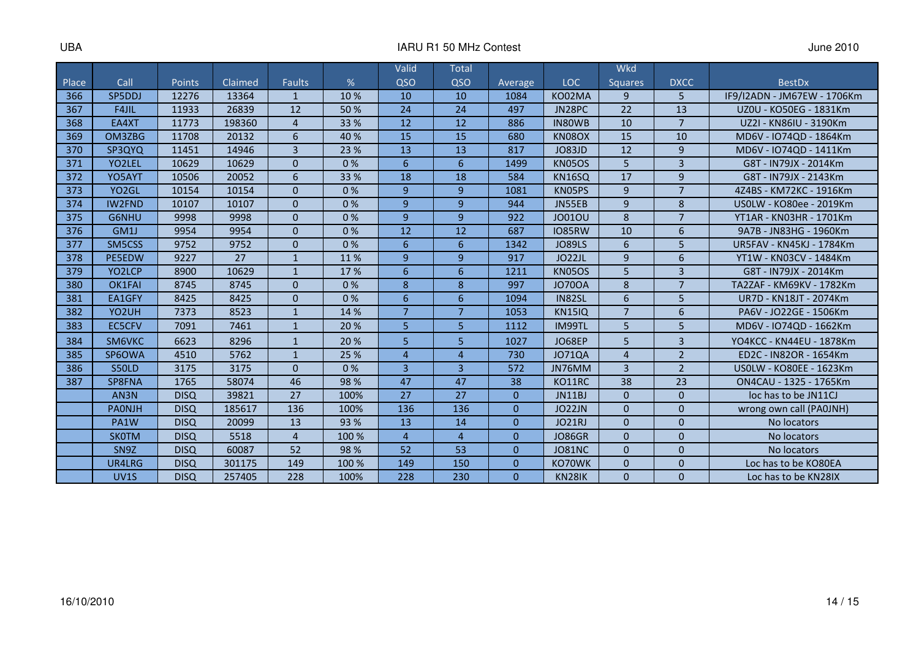|       |                     |             |         |                |       | Valid                 | <b>Total</b>          |          |               | <b>Wkd</b>     |                |                                 |
|-------|---------------------|-------------|---------|----------------|-------|-----------------------|-----------------------|----------|---------------|----------------|----------------|---------------------------------|
| Place | Call                | Points      | Claimed | Faults         | %     | QSO                   | QSO                   | Average  | <b>LOC</b>    | <b>Squares</b> | <b>DXCC</b>    | <b>BestDx</b>                   |
| 366   | SP5DDJ              | 12276       | 13364   | $\mathbf{1}$   | 10 %  | 10                    | 10                    | 1084     | KO02MA        | 9              | 5              | IF9/I2ADN - JM67EW - 1706Km     |
| 367   | F4JIL               | 11933       | 26839   | 12             | 50 %  | 24                    | 24                    | 497      | JN28PC        | 22             | 13             | UZ0U - KO50EG - 1831Km          |
| 368   | EA4XT               | 11773       | 198360  | $\overline{4}$ | 33 %  | 12                    | 12                    | 886      | IN80WB        | 10             | $\overline{7}$ | UZ2I - KN86IU - 3190Km          |
| 369   | OM3ZBG              | 11708       | 20132   | 6              | 40 %  | 15                    | 15                    | 680      | KN08OX        | 15             | 10             | MD6V - IO74QD - 1864Km          |
| 370   | SP3QYQ              | 11451       | 14946   | $\overline{3}$ | 23 %  | 13                    | 13                    | 817      | <b>JO83JD</b> | 12             | 9              | MD6V - IO74QD - 1411Km          |
| 371   | YO <sub>2</sub> LEL | 10629       | 10629   | $\Omega$       | 0%    | 6                     | 6                     | 1499     | <b>KN05OS</b> | 5              | $\overline{3}$ | G8T - IN79JX - 2014Km           |
| 372   | YO5AYT              | 10506       | 20052   | 6              | 33 %  | 18                    | 18                    | 584      | <b>KN16SQ</b> | 17             | 9              | G8T - IN79JX - 2143Km           |
| 373   | YO <sub>2</sub> GL  | 10154       | 10154   | $\Omega$       | 0%    | $\mathbf{q}$          | 9                     | 1081     | KN05PS        | 9              | $\overline{7}$ | 4Z4BS - KM72KC - 1916Km         |
| 374   | <b>IW2FND</b>       | 10107       | 10107   | $\Omega$       | 0%    | $\overline{9}$        | 9                     | 944      | JN55EB        | 9              | 8              | US0LW - KO80ee - 2019Km         |
| 375   | G6NHU               | 9998        | 9998    | $\Omega$       | 0%    | $\overline{9}$        | 9                     | 922      | <b>JO01OU</b> | 8              | $\overline{7}$ | YT1AR - KN03HR - 1701Km         |
| 376   | GM1J                | 9954        | 9954    | $\Omega$       | 0%    | 12                    | 12                    | 687      | <b>IO85RW</b> | 10             | 6              | 9A7B - JN83HG - 1960Km          |
| 377   | SM5CSS              | 9752        | 9752    | $\Omega$       | 0%    | 6                     | 6                     | 1342     | <b>JO89LS</b> | 6              | 5              | <b>UR5FAV - KN45KJ - 1784Km</b> |
| 378   | <b>PE5EDW</b>       | 9227        | 27      | $\mathbf{1}$   | 11%   | $\overline{9}$        | 9                     | 917      | JO22JL        | 9              | 6              | YT1W - KN03CV - 1484Km          |
| 379   | YO2LCP              | 8900        | 10629   | $\mathbf{1}$   | 17%   | 6                     | 6                     | 1211     | <b>KN05OS</b> | 5              | $\overline{3}$ | G8T - IN79JX - 2014Km           |
| 380   | OK1FAI              | 8745        | 8745    | $\Omega$       | 0%    | 8                     | 8                     | 997      | <b>JO700A</b> | 8              | $\overline{7}$ | TA2ZAF - KM69KV - 1782Km        |
| 381   | EA1GFY              | 8425        | 8425    | $\Omega$       | 0%    | 6                     | 6                     | 1094     | IN82SL        | 6              | 5              | UR7D - KN18JT - 2074Km          |
| 382   | YO <sub>2</sub> UH  | 7373        | 8523    | $\overline{1}$ | 14 %  | $\overline{7}$        | $\overline{7}$        | 1053     | <b>KN15IQ</b> | $\overline{7}$ | 6              | PA6V - JO22GE - 1506Km          |
| 383   | <b>EC5CFV</b>       | 7091        | 7461    | $\mathbf{1}$   | 20 %  | 5                     | 5                     | 1112     | <b>IM99TL</b> | 5              | 5              | MD6V - IO74QD - 1662Km          |
| 384   | SM6VKC              | 6623        | 8296    | $\mathbf{1}$   | 20 %  | 5                     | 5                     | 1027     | <b>JO68EP</b> | 5              | $\overline{3}$ | YO4KCC - KN44EU - 1878Km        |
| 385   | SP6OWA              | 4510        | 5762    | $\mathbf{1}$   | 25 %  | $\boldsymbol{\Delta}$ | $\boldsymbol{\Delta}$ | 730      | <b>JO71QA</b> | $\overline{a}$ | $\overline{2}$ | ED2C - IN82OR - 1654Km          |
| 386   | S50LD               | 3175        | 3175    | $\Omega$       | 0%    | $\overline{3}$        | $\overline{3}$        | 572      | JN76MM        | $\overline{3}$ | $\overline{2}$ | US0LW - KO80EE - 1623Km         |
| 387   | SP8FNA              | 1765        | 58074   | 46             | 98 %  | 47                    | 47                    | 38       | KO11RC        | 38             | 23             | ON4CAU - 1325 - 1765Km          |
|       | AN <sub>3</sub> N   | <b>DISQ</b> | 39821   | 27             | 100%  | 27                    | 27                    | $\Omega$ | JN11BJ        | $\Omega$       | $\Omega$       | loc has to be JN11CJ            |
|       | <b>PAONJH</b>       | <b>DISQ</b> | 185617  | 136            | 100%  | 136                   | 136                   | $\Omega$ | <b>JO22JN</b> | $\Omega$       | $\Omega$       | wrong own call (PA0JNH)         |
|       | PA1W                | <b>DISQ</b> | 20099   | 13             | 93 %  | 13                    | 14                    | $\Omega$ | <b>JO21RJ</b> | $\Omega$       | $\mathbf{0}$   | No locators                     |
|       | <b>SKOTM</b>        | <b>DISQ</b> | 5518    | $\overline{4}$ | 100 % | $\overline{4}$        | $\overline{4}$        | $\Omega$ | <b>JO86GR</b> | $\Omega$       | $\Omega$       | No locators                     |
|       | SN <sub>9</sub> Z   | <b>DISQ</b> | 60087   | 52             | 98%   | 52                    | 53                    | $\Omega$ | <b>JO81NC</b> | $\Omega$       | $\Omega$       | No locators                     |
|       | UR4LRG              | <b>DISQ</b> | 301175  | 149            | 100 % | 149                   | 150                   | $\Omega$ | KO70WK        | $\Omega$       | $\Omega$       | Loc has to be KO80EA            |
|       | UV <sub>1</sub> S   | <b>DISQ</b> | 257405  | 228            | 100%  | 228                   | 230                   | $\Omega$ | <b>KN28IK</b> | $\Omega$       | $\Omega$       | Loc has to be KN28IX            |